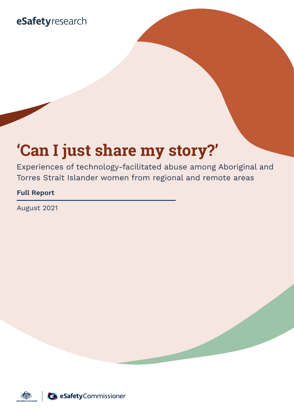## eSafetyresearch

# **'Can I just share my story?'**

Experiences of technology-facilitated abuse among Aboriginal and Torres Strait Islander women from regional and remote areas

#### **Full Report**

August 2021

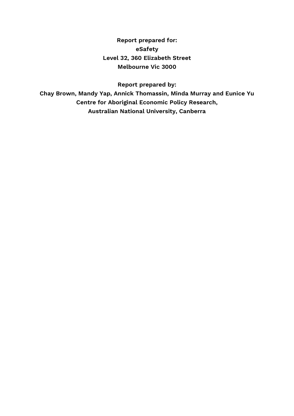**Report prepared for: eSafety Level 32, 360 Elizabeth Street Melbourne Vic 3000**

**Report prepared by:**

**Chay Brown, Mandy Yap, Annick Thomassin, Minda Murray and Eunice Yu Centre for Aboriginal Economic Policy Research, Australian National University, Canberra**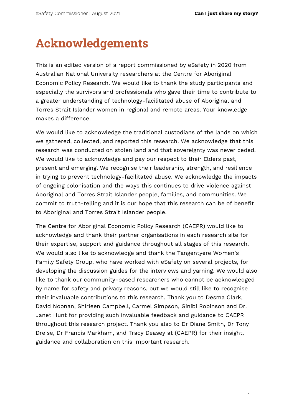# <span id="page-2-0"></span>**Acknowledgements**

This is an edited version of a report commissioned by eSafety in 2020 from Australian National University researchers at the Centre for Aboriginal Economic Policy Research. We would like to thank the study participants and especially the survivors and professionals who gave their time to contribute to a greater understanding of technology-facilitated abuse of Aboriginal and Torres Strait Islander women in regional and remote areas. Your knowledge makes a difference.

We would like to acknowledge the traditional custodians of the lands on which we gathered, collected, and reported this research. We acknowledge that this research was conducted on stolen land and that sovereignty was never ceded. We would like to acknowledge and pay our respect to their Elders past, present and emerging. We recognise their leadership, strength, and resilience in trying to prevent technology-facilitated abuse. We acknowledge the impacts of ongoing colonisation and the ways this continues to drive violence against Aboriginal and Torres Strait Islander people, families, and communities. We commit to truth-telling and it is our hope that this research can be of benefit to Aboriginal and Torres Strait Islander people.

The Centre for Aboriginal Economic Policy Research (CAEPR) would like to acknowledge and thank their partner organisations in each research site for their expertise, support and guidance throughout all stages of this research. We would also like to acknowledge and thank the Tangentyere Women's Family Safety Group, who have worked with eSafety on several projects, for developing the discussion guides for the interviews and yarning. We would also like to thank our community-based researchers who cannot be acknowledged by name for safety and privacy reasons, but we would still like to recognise their invaluable contributions to this research. Thank you to Desma Clark, David Noonan, Shirleen Campbell, Carmel Simpson, Ginibi Robinson and Dr. Janet Hunt for providing such invaluable feedback and guidance to CAEPR throughout this research project. Thank you also to Dr Diane Smith, Dr Tony Dreise, Dr Francis Markham, and Tracy Deasey at (CAEPR) for their insight, guidance and collaboration on this important research.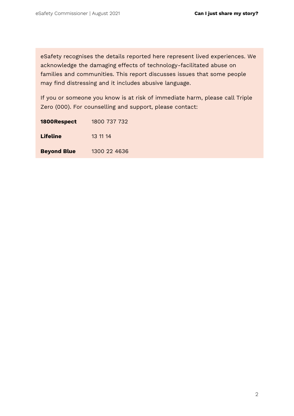eSafety recognises the details reported here represent lived experiences. We acknowledge the damaging effects of technology-facilitated abuse on families and communities. This report discusses issues that some people may find distressing and it includes abusive language.

If you or someone you know is at risk of immediate harm, please call Triple Zero (000). For counselling and support, please contact:

| 1800Respect        | 1800 737 732 |
|--------------------|--------------|
| Lifeline           | 13 11 14     |
| <b>Beyond Blue</b> | 1300 22 4636 |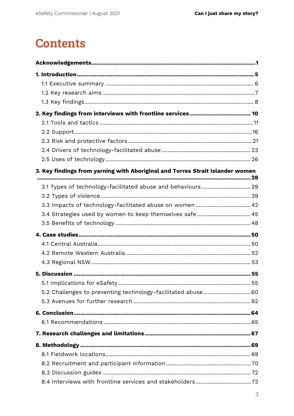## **Contents**

| 3. Key findings from yarning with Aboriginal and Torres Strait Islander women |  |
|-------------------------------------------------------------------------------|--|
|                                                                               |  |
|                                                                               |  |
|                                                                               |  |
| 3.4 Strategies used by women to keep themselves safe  45                      |  |
|                                                                               |  |
|                                                                               |  |
|                                                                               |  |
|                                                                               |  |
|                                                                               |  |
|                                                                               |  |
|                                                                               |  |
| 5.2 Challenges to preventing technology-facilitated abuse 60                  |  |
|                                                                               |  |
|                                                                               |  |
|                                                                               |  |
|                                                                               |  |
|                                                                               |  |
|                                                                               |  |
|                                                                               |  |
|                                                                               |  |
|                                                                               |  |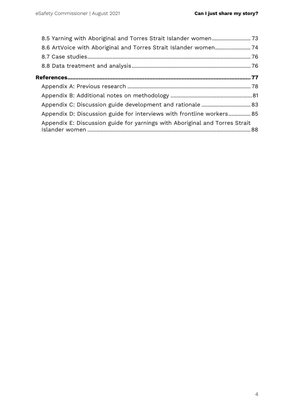| Appendix C: Discussion guide development and rationale  83                  |  |
|-----------------------------------------------------------------------------|--|
| Appendix D: Discussion guide for interviews with frontline workers 85       |  |
| Appendix E: Discussion guide for yarnings with Aboriginal and Torres Strait |  |
|                                                                             |  |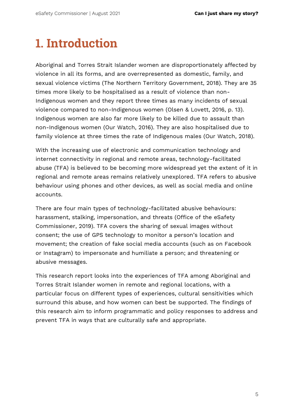# <span id="page-6-0"></span>**1. Introduction**

Aboriginal and Torres Strait Islander women are disproportionately affected by violence in all its forms, and are overrepresented as domestic, family, and sexual violence victims (The Northern Territory Government, 2018). They are 35 times more likely to be hospitalised as a result of violence than non-Indigenous women and they report three times as many incidents of sexual violence compared to non-Indigenous women (Olsen & Lovett, 2016, p. 13). Indigenous women are also far more likely to be killed due to assault than non-Indigenous women (Our Watch, 2016). They are also hospitalised due to family violence at three times the rate of Indigenous males (Our Watch, 2018).

With the increasing use of electronic and communication technology and internet connectivity in regional and remote areas, technology-facilitated abuse (TFA) is believed to be becoming more widespread yet the extent of it in regional and remote areas remains relatively unexplored. TFA refers to abusive behaviour using phones and other devices, as well as social media and online accounts.

There are four main types of technology-facilitated abusive behaviours: harassment, stalking, impersonation, and threats (Office of the eSafety Commissioner, 2019). TFA covers the sharing of sexual images without consent; the use of GPS technology to monitor a person's location and movement; the creation of fake social media accounts (such as on Facebook or Instagram) to impersonate and humiliate a person; and threatening or abusive messages.

This research report looks into the experiences of TFA among Aboriginal and Torres Strait Islander women in remote and regional locations, with a particular focus on different types of experiences, cultural sensitivities which surround this abuse, and how women can best be supported. The findings of this research aim to inform programmatic and policy responses to address and prevent TFA in ways that are culturally safe and appropriate.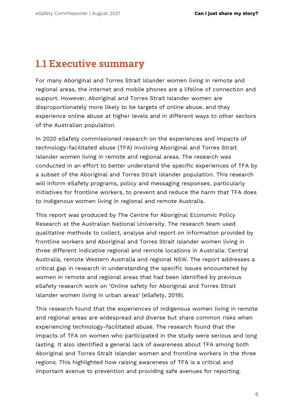### <span id="page-7-0"></span>**1.1 Executive summary**

For many Aboriginal and Torres Strait Islander women living in remote and regional areas, the internet and mobile phones are a lifeline of connection and support. However, Aboriginal and Torres Strait Islander women are disproportionately more likely to be targets of online abuse, and they experience online abuse at higher levels and in different ways to other sectors of the Australian population.

In 2020 eSafety commissioned research on the experiences and impacts of technology-facilitated abuse (TFA) involving Aboriginal and Torres Strait Islander women living in remote and regional areas. The research was conducted in an effort to better understand the specific experiences of TFA by a subset of the Aboriginal and Torres Strait Islander population. This research will inform eSafety programs, policy and messaging responses, particularly initiatives for frontline workers, to prevent and reduce the harm that TFA does to Indigenous women living in regional and remote Australia.

This report was produced by The Centre for Aboriginal Economic Policy Research at the Australian National University. The research team used qualitative methods to collect, analyse and report on information provided by frontline workers and Aboriginal and Torres Strait Islander women living in three different indicative regional and remote locations in Australia: Central Australia, remote Western Australia and regional NSW. The report addresses a critical gap in research in understanding the specific issues encountered by women in remote and regional areas that had been identified by previous eSafety research work on 'Online safety for Aboriginal and Torres Strait Islander women living in urban areas' (eSafety, 2019).

This research found that the experiences of Indigenous women living in remote and regional areas are widespread and diverse but share common risks when experiencing technology-facilitated abuse. The research found that the impacts of TFA on women who participated in the study were serious and long lasting. It also identified a general lack of awareness about TFA among both Aboriginal and Torres Strait Islander women and frontline workers in the three regions. This highlighted how raising awareness of TFA is a critical and important avenue to prevention and providing safe avenues for reporting.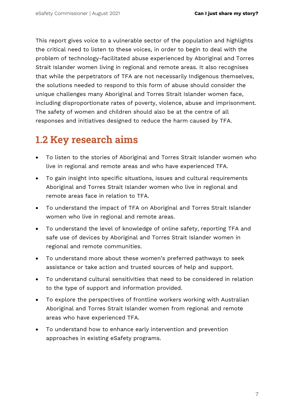This report gives voice to a vulnerable sector of the population and highlights the critical need to listen to these voices, in order to begin to deal with the problem of technology-facilitated abuse experienced by Aboriginal and Torres Strait Islander women living in regional and remote areas. It also recognises that while the perpetrators of TFA are not necessarily Indigenous themselves, the solutions needed to respond to this form of abuse should consider the unique challenges many Aboriginal and Torres Strait Islander women face, including disproportionate rates of poverty, violence, abuse and imprisonment. The safety of women and children should also be at the centre of all responses and initiatives designed to reduce the harm caused by TFA.

## <span id="page-8-0"></span>**1.2 Key research aims**

- To listen to the stories of Aboriginal and Torres Strait Islander women who live in regional and remote areas and who have experienced TFA.
- To gain insight into specific situations, issues and cultural requirements Aboriginal and Torres Strait Islander women who live in regional and remote areas face in relation to TFA.
- To understand the impact of TFA on Aboriginal and Torres Strait Islander women who live in regional and remote areas.
- To understand the level of knowledge of online safety, reporting TFA and safe use of devices by Aboriginal and Torres Strait Islander women in regional and remote communities.
- To understand more about these women's preferred pathways to seek assistance or take action and trusted sources of help and support.
- To understand cultural sensitivities that need to be considered in relation to the type of support and information provided.
- To explore the perspectives of frontline workers working with Australian Aboriginal and Torres Strait Islander women from regional and remote areas who have experienced TFA.
- To understand how to enhance early intervention and prevention approaches in existing eSafety programs.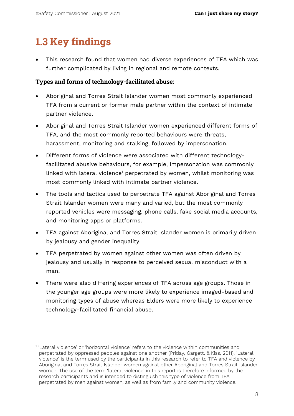## <span id="page-9-0"></span>**1.3 Key findings**

• This research found that women had diverse experiences of TFA which was further complicated by living in regional and remote contexts.

#### **Types and forms of technology-facilitated abuse:**

- Aboriginal and Torres Strait Islander women most commonly experienced TFA from a current or former male partner within the context of intimate partner violence.
- Aboriginal and Torres Strait Islander women experienced different forms of TFA, and the most commonly reported behaviours were threats, harassment, monitoring and stalking, followed by impersonation.
- Different forms of violence were associated with different technologyfacilitated abusive behaviours, for example, impersonation was commonly linked with lateral violence<sup>1</sup> perpetrated by women, whilst monitoring was most commonly linked with intimate partner violence.
- The tools and tactics used to perpetrate TFA against Aboriginal and Torres Strait Islander women were many and varied, but the most commonly reported vehicles were messaging, phone calls, fake social media accounts, and monitoring apps or platforms.
- TFA against Aboriginal and Torres Strait Islander women is primarily driven by jealousy and gender inequality.
- TFA perpetrated by women against other women was often driven by jealousy and usually in response to perceived sexual misconduct with a man.
- There were also differing experiences of TFA across age groups. Those in the younger age groups were more likely to experience imaged-based and monitoring types of abuse whereas Elders were more likely to experience technology-facilitated financial abuse.

<sup>1</sup> 'Lateral violence' or 'horizontal violence' refers to the violence within communities and perpetrated by oppressed peoples against one another (Priday, Gargett, & Kiss, 2011). 'Lateral violence' is the term used by the participants in this research to refer to TFA and violence by Aboriginal and Torres Strait Islander women against other Aboriginal and Torres Strait Islander women. The use of the term 'lateral violence' in this report is therefore informed by the research participants and is intended to distinguish this type of violence from TFA perpetrated by men against women, as well as from family and community violence.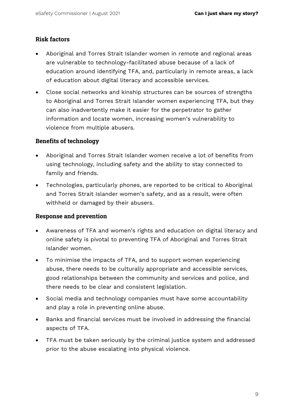#### **Risk factors**

- Aboriginal and Torres Strait Islander women in remote and regional areas are vulnerable to technology-facilitated abuse because of a lack of education around identifying TFA, and, particularly in remote areas, a lack of education about digital literacy and accessible services.
- Close social networks and kinship structures can be sources of strengths to Aboriginal and Torres Strait Islander women experiencing TFA, but they can also inadvertently make it easier for the perpetrator to gather information and locate women, increasing women's vulnerability to violence from multiple abusers.

#### **Benefits of technology**

- Aboriginal and Torres Strait Islander women receive a lot of benefits from using technology, including safety and the ability to stay connected to family and friends.
- Technologies, particularly phones, are reported to be critical to Aboriginal and Torres Strait Islander women's safety, and as a result, were often withheld or damaged by their abusers.

#### **Response and prevention**

- Awareness of TFA and women's rights and education on digital literacy and online safety is pivotal to preventing TFA of Aboriginal and Torres Strait Islander women.
- To minimise the impacts of TFA, and to support women experiencing abuse, there needs to be culturally appropriate and accessible services, good relationships between the community and services and police, and there needs to be clear and consistent legislation.
- Social media and technology companies must have some accountability and play a role in preventing online abuse.
- Banks and financial services must be involved in addressing the financial aspects of TFA.
- <span id="page-10-0"></span>• TFA must be taken seriously by the criminal justice system and addressed prior to the abuse escalating into physical violence.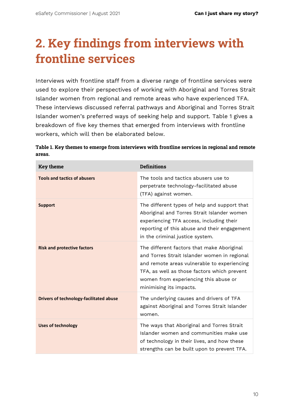# **2. Key findings from interviews with frontline services**

Interviews with frontline staff from a diverse range of frontline services were used to explore their perspectives of working with Aboriginal and Torres Strait Islander women from regional and remote areas who have experienced TFA. These interviews discussed referral pathways and Aboriginal and Torres Strait Islander women's preferred ways of seeking help and support. Table 1 gives a breakdown of five key themes that emerged from interviews with frontline workers, which will then be elaborated below.

| <b>Key theme</b>                               | <b>Definitions</b>                                                                                                                                                                                                                                           |
|------------------------------------------------|--------------------------------------------------------------------------------------------------------------------------------------------------------------------------------------------------------------------------------------------------------------|
| <b>Tools and tactics of abusers</b>            | The tools and tactics abusers use to<br>perpetrate technology-facilitated abuse<br>(TFA) against women.                                                                                                                                                      |
| <b>Support</b>                                 | The different types of help and support that<br>Aboriginal and Torres Strait Islander women<br>experiencing TFA access, including their<br>reporting of this abuse and their engagement<br>in the criminal justice system.                                   |
| <b>Risk and protective factors</b>             | The different factors that make Aboriginal<br>and Torres Strait Islander women in regional<br>and remote areas vulnerable to experiencing<br>TFA, as well as those factors which prevent<br>women from experiencing this abuse or<br>minimising its impacts. |
| <b>Drivers of technology-facilitated abuse</b> | The underlying causes and drivers of TFA<br>against Aboriginal and Torres Strait Islander<br>women.                                                                                                                                                          |
| <b>Uses of technology</b>                      | The ways that Aboriginal and Torres Strait<br>Islander women and communities make use<br>of technology in their lives, and how these<br>strengths can be built upon to prevent TFA.                                                                          |

| Table 1. Key themes to emerge from interviews with frontline services in regional and remote |
|----------------------------------------------------------------------------------------------|
| areas.                                                                                       |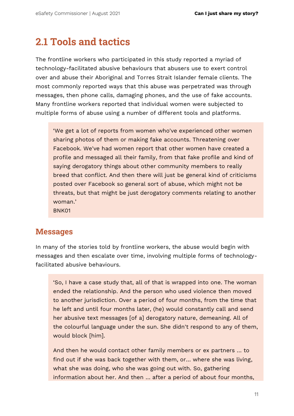### <span id="page-12-0"></span>**2.1 Tools and tactics**

The frontline workers who participated in this study reported a myriad of technology-facilitated abusive behaviours that abusers use to exert control over and abuse their Aboriginal and Torres Strait Islander female clients. The most commonly reported ways that this abuse was perpetrated was through messages, then phone calls, damaging phones, and the use of fake accounts. Many frontline workers reported that individual women were subjected to multiple forms of abuse using a number of different tools and platforms.

'We get a lot of reports from women who've experienced other women sharing photos of them or making fake accounts. Threatening over Facebook. We've had women report that other women have created a profile and messaged all their family, from that fake profile and kind of saying derogatory things about other community members to really breed that conflict. And then there will just be general kind of criticisms posted over Facebook so general sort of abuse, which might not be threats, but that might be just derogatory comments relating to another woman.'

BNK01

#### **Messages**

In many of the stories told by frontline workers, the abuse would begin with messages and then escalate over time, involving multiple forms of technologyfacilitated abusive behaviours.

'So, I have a case study that, all of that is wrapped into one. The woman ended the relationship. And the person who used violence then moved to another jurisdiction. Over a period of four months, from the time that he left and until four months later, (he) would constantly call and send her abusive text messages [of a] derogatory nature, demeaning. All of the colourful language under the sun. She didn't respond to any of them, would block [him].

And then he would contact other family members or ex partners … to find out if she was back together with them, or… where she was living, what she was doing, who she was going out with. So, gathering information about her. And then … after a period of about four months,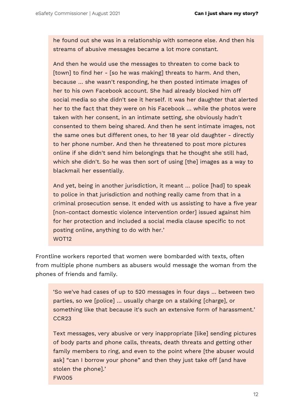he found out she was in a relationship with someone else. And then his streams of abusive messages became a lot more constant.

And then he would use the messages to threaten to come back to [town] to find her - [so he was making] threats to harm. And then, because … she wasn't responding, he then posted intimate images of her to his own Facebook account. She had already blocked him off social media so she didn't see it herself. It was her daughter that alerted her to the fact that they were on his Facebook … while the photos were taken with her consent, in an intimate setting, she obviously hadn't consented to them being shared. And then he sent intimate images, not the same ones but different ones, to her 18 year old daughter - directly to her phone number. And then he threatened to post more pictures online if she didn't send him belongings that he thought she still had, which she didn't. So he was then sort of using [the] images as a way to blackmail her essentially.

And yet, being in another jurisdiction, it meant … police [had] to speak to police in that jurisdiction and nothing really came from that in a criminal prosecution sense. It ended with us assisting to have a five year [non-contact domestic violence intervention order] issued against him for her protection and included a social media clause specific to not posting online, anything to do with her.' WOT<sub>12</sub>

Frontline workers reported that women were bombarded with texts, often from multiple phone numbers as abusers would message the woman from the phones of friends and family.

'So we've had cases of up to 520 messages in four days … between two parties, so we [police] … usually charge on a stalking [charge], or something like that because it's such an extensive form of harassment.' CCR23

Text messages, very abusive or very inappropriate [like] sending pictures of body parts and phone calls, threats, death threats and getting other family members to ring, and even to the point where [the abuser would ask] "can I borrow your phone" and then they just take off [and have stolen the phone].' FW005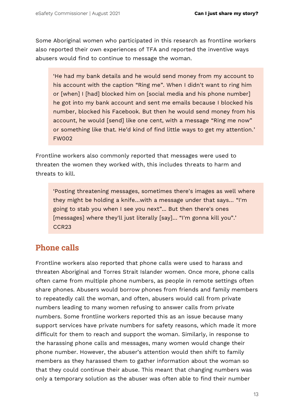Some Aboriginal women who participated in this research as frontline workers also reported their own experiences of TFA and reported the inventive ways abusers would find to continue to message the woman.

'He had my bank details and he would send money from my account to his account with the caption "Ring me". When I didn't want to ring him or [when] I [had] blocked him on [social media and his phone number] he got into my bank account and sent me emails because I blocked his number, blocked his Facebook. But then he would send money from his account, he would [send] like one cent, with a message "Ring me now" or something like that. He'd kind of find little ways to get my attention.' FW002

Frontline workers also commonly reported that messages were used to threaten the women they worked with, this includes threats to harm and threats to kill.

'Posting threatening messages, sometimes there's images as well where they might be holding a knife…with a message under that says… "I'm going to stab you when I see you next"... But then there's ones [messages] where they'll just literally [say]… "I'm gonna kill you".' CCR23

### **Phone calls**

Frontline workers also reported that phone calls were used to harass and threaten Aboriginal and Torres Strait Islander women. Once more, phone calls often came from multiple phone numbers, as people in remote settings often share phones. Abusers would borrow phones from friends and family members to repeatedly call the woman, and often, abusers would call from private numbers leading to many women refusing to answer calls from private numbers. Some frontline workers reported this as an issue because many support services have private numbers for safety reasons, which made it more difficult for them to reach and support the woman. Similarly, in response to the harassing phone calls and messages, many women would change their phone number. However, the abuser's attention would then shift to family members as they harassed them to gather information about the woman so that they could continue their abuse. This meant that changing numbers was only a temporary solution as the abuser was often able to find their number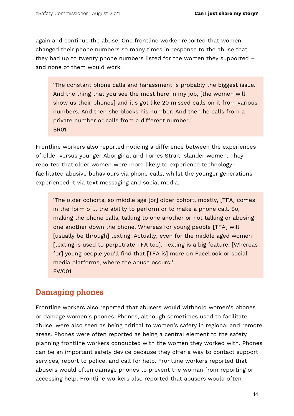again and continue the abuse. One frontline worker reported that women changed their phone numbers so many times in response to the abuse that they had up to twenty phone numbers listed for the women they supported – and none of them would work.

'The constant phone calls and harassment is probably the biggest issue. And the thing that you see the most here in my job, [the women will show us their phones] and it's got like 20 missed calls on it from various numbers. And then she blocks his number. And then he calls from a private number or calls from a different number.' BR01

Frontline workers also reported noticing a difference between the experiences of older versus younger Aboriginal and Torres Strait Islander women. They reported that older women were more likely to experience technologyfacilitated abusive behaviours via phone calls, whilst the younger generations experienced it via text messaging and social media.

'The older cohorts, so middle age [or] older cohort, mostly, [TFA] comes in the form of… the ability to perform or to make a phone call. So, making the phone calls, talking to one another or not talking or abusing one another down the phone. Whereas for young people [TFA] will [usually be through] texting. Actually, even for the middle aged women [texting is used to perpetrate TFA too]. Texting is a big feature. [Whereas for] young people you'll find that [TFA is] more on Facebook or social media platforms, where the abuse occurs.' FW001

### **Damaging phones**

Frontline workers also reported that abusers would withhold women's phones or damage women's phones. Phones, although sometimes used to facilitate abuse, were also seen as being critical to women's safety in regional and remote areas. Phones were often reported as being a central element to the safety planning frontline workers conducted with the women they worked with. Phones can be an important safety device because they offer a way to contact support services, report to police, and call for help. Frontline workers reported that abusers would often damage phones to prevent the woman from reporting or accessing help. Frontline workers also reported that abusers would often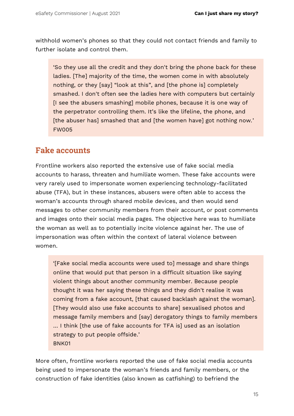withhold women's phones so that they could not contact friends and family to further isolate and control them.

'So they use all the credit and they don't bring the phone back for these ladies. [The] majority of the time, the women come in with absolutely nothing, or they [say] "look at this", and [the phone is] completely smashed. I don't often see the ladies here with computers but certainly [I see the abusers smashing] mobile phones, because it is one way of the perpetrator controlling them. It's like the lifeline, the phone, and [the abuser has] smashed that and [the women have] got nothing now.' FW005

#### **Fake accounts**

Frontline workers also reported the extensive use of fake social media accounts to harass, threaten and humiliate women. These fake accounts were very rarely used to impersonate women experiencing technology-facilitated abuse (TFA), but in these instances, abusers were often able to access the woman's accounts through shared mobile devices, and then would send messages to other community members from their account, or post comments and images onto their social media pages. The objective here was to humiliate the woman as well as to potentially incite violence against her. The use of impersonation was often within the context of lateral violence between women.

'[Fake social media accounts were used to] message and share things online that would put that person in a difficult situation like saying violent things about another community member. Because people thought it was her saying these things and they didn't realise it was coming from a fake account, [that caused backlash against the woman]. [They would also use fake accounts to share] sexualised photos and message family members and [say] derogatory things to family members … I think [the use of fake accounts for TFA is] used as an isolation strategy to put people offside.' BNK01

More often, frontline workers reported the use of fake social media accounts being used to impersonate the woman's friends and family members, or the construction of fake identities (also known as catfishing) to befriend the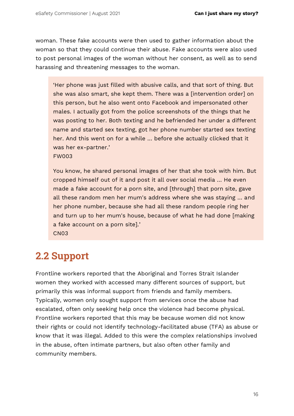woman. These fake accounts were then used to gather information about the woman so that they could continue their abuse. Fake accounts were also used to post personal images of the woman without her consent, as well as to send harassing and threatening messages to the woman.

'Her phone was just filled with abusive calls, and that sort of thing. But she was also smart, she kept them. There was a [intervention order] on this person, but he also went onto Facebook and impersonated other males. I actually got from the police screenshots of the things that he was posting to her. Both texting and he befriended her under a different name and started sex texting, got her phone number started sex texting her. And this went on for a while … before she actually clicked that it was her ex-partner.' FW003

You know, he shared personal images of her that she took with him. But cropped himself out of it and post it all over social media … He even made a fake account for a porn site, and [through] that porn site, gave all these random men her mum's address where she was staying … and her phone number, because she had all these random people ring her and turn up to her mum's house, because of what he had done [making a fake account on a porn site].'

CN03

### <span id="page-17-0"></span>**2.2 Support**

Frontline workers reported that the Aboriginal and Torres Strait Islander women they worked with accessed many different sources of support, but primarily this was informal support from friends and family members. Typically, women only sought support from services once the abuse had escalated, often only seeking help once the violence had become physical. Frontline workers reported that this may be because women did not know their rights or could not identify technology-facilitated abuse (TFA) as abuse or know that it was illegal. Added to this were the complex relationships involved in the abuse, often intimate partners, but also often other family and community members.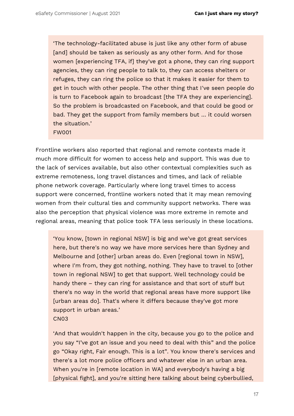'The technology-facilitated abuse is just like any other form of abuse [and] should be taken as seriously as any other form. And for those women [experiencing TFA, if] they've got a phone, they can ring support agencies, they can ring people to talk to, they can access shelters or refuges, they can ring the police so that it makes it easier for them to get in touch with other people. The other thing that I've seen people do is turn to Facebook again to broadcast [the TFA they are experiencing]. So the problem is broadcasted on Facebook, and that could be good or bad. They get the support from family members but … it could worsen the situation.'

FW001

Frontline workers also reported that regional and remote contexts made it much more difficult for women to access help and support. This was due to the lack of services available, but also other contextual complexities such as extreme remoteness, long travel distances and times, and lack of reliable phone network coverage. Particularly where long travel times to access support were concerned, frontline workers noted that it may mean removing women from their cultural ties and community support networks. There was also the perception that physical violence was more extreme in remote and regional areas, meaning that police took TFA less seriously in these locations.

'You know, [town in regional NSW] is big and we've got great services here, but there's no way we have more services here than Sydney and Melbourne and [other] urban areas do. Even [regional town in NSW], where I'm from, they got nothing, nothing. They have to travel to [other town in regional NSW] to get that support. Well technology could be handy there – they can ring for assistance and that sort of stuff but there's no way in the world that regional areas have more support like [urban areas do]. That's where it differs because they've got more support in urban areas.' CN03

'And that wouldn't happen in the city, because you go to the police and you say "I've got an issue and you need to deal with this" and the police go "Okay right, Fair enough. This is a lot". You know there's services and there's a lot more police officers and whatever else in an urban area. When you're in [remote location in WA] and everybody's having a big [physical fight], and you're sitting here talking about being cyberbullied,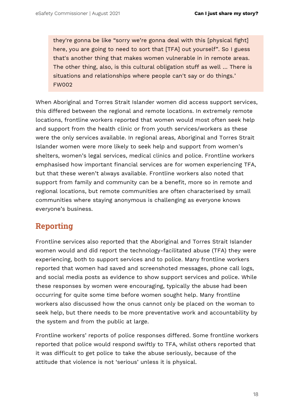they're gonna be like "sorry we're gonna deal with this [physical fight] here, you are going to need to sort that [TFA] out yourself". So I guess that's another thing that makes women vulnerable in in remote areas. The other thing, also, is this cultural obligation stuff as well … There is situations and relationships where people can't say or do things.' FW002

When Aboriginal and Torres Strait Islander women did access support services, this differed between the regional and remote locations. In extremely remote locations, frontline workers reported that women would most often seek help and support from the health clinic or from youth services/workers as these were the only services available. In regional areas, Aboriginal and Torres Strait Islander women were more likely to seek help and support from women's shelters, women's legal services, medical clinics and police. Frontline workers emphasised how important financial services are for women experiencing TFA, but that these weren't always available. Frontline workers also noted that support from family and community can be a benefit, more so in remote and regional locations, but remote communities are often characterised by small communities where staying anonymous is challenging as everyone knows everyone's business.

### **Reporting**

Frontline services also reported that the Aboriginal and Torres Strait Islander women would and did report the technology-facilitated abuse (TFA) they were experiencing, both to support services and to police. Many frontline workers reported that women had saved and screenshoted messages, phone call logs, and social media posts as evidence to show support services and police. While these responses by women were encouraging, typically the abuse had been occurring for quite some time before women sought help. Many frontline workers also discussed how the onus cannot only be placed on the woman to seek help, but there needs to be more preventative work and accountability by the system and from the public at large.

Frontline workers' reports of police responses differed. Some frontline workers reported that police would respond swiftly to TFA, whilst others reported that it was difficult to get police to take the abuse seriously, because of the attitude that violence is not 'serious' unless it is physical.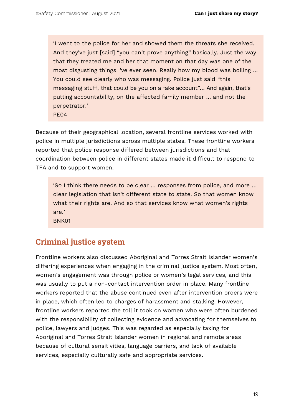'I went to the police for her and showed them the threats she received. And they've just [said] "you can't prove anything" basically. Just the way that they treated me and her that moment on that day was one of the most disgusting things I've ever seen. Really how my blood was boiling … You could see clearly who was messaging. Police just said "this messaging stuff, that could be you on a fake account"… And again, that's putting accountability, on the affected family member … and not the perpetrator.'

PE04

Because of their geographical location, several frontline services worked with police in multiple jurisdictions across multiple states. These frontline workers reported that police response differed between jurisdictions and that coordination between police in different states made it difficult to respond to TFA and to support women.

'So I think there needs to be clear … responses from police, and more … clear legislation that isn't different state to state. So that women know what their rights are. And so that services know what women's rights are.'

BNK01

### **Criminal justice system**

Frontline workers also discussed Aboriginal and Torres Strait Islander women's differing experiences when engaging in the criminal justice system. Most often, women's engagement was through police or women's legal services, and this was usually to put a non-contact intervention order in place. Many frontline workers reported that the abuse continued even after intervention orders were in place, which often led to charges of harassment and stalking. However, frontline workers reported the toll it took on women who were often burdened with the responsibility of collecting evidence and advocating for themselves to police, lawyers and judges. This was regarded as especially taxing for Aboriginal and Torres Strait Islander women in regional and remote areas because of cultural sensitivities, language barriers, and lack of available services, especially culturally safe and appropriate services.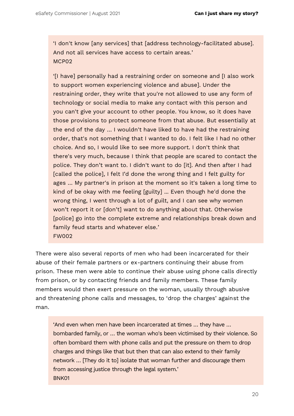'I don't know [any services] that [address technology-facilitated abuse]. And not all services have access to certain areas.' MC<sub>PO2</sub>

'[I have] personally had a restraining order on someone and [I also work to support women experiencing violence and abuse]. Under the restraining order, they write that you're not allowed to use any form of technology or social media to make any contact with this person and you can't give your account to other people. You know, so it does have those provisions to protect someone from that abuse. But essentially at the end of the day … I wouldn't have liked to have had the restraining order, that's not something that I wanted to do. I felt like I had no other choice. And so, I would like to see more support. I don't think that there's very much, because I think that people are scared to contact the police. They don't want to. I didn't want to do [it]. And then after I had [called the police], I felt I'd done the wrong thing and I felt guilty for ages … My partner's in prison at the moment so it's taken a long time to kind of be okay with me feeling [guilty] ... Even though he'd done the wrong thing, I went through a lot of guilt, and I can see why women won't report it or [don't] want to do anything about that. Otherwise [police] go into the complete extreme and relationships break down and family feud starts and whatever else.' FW002

There were also several reports of men who had been incarcerated for their abuse of their female partners or ex-partners continuing their abuse from prison. These men were able to continue their abuse using phone calls directly from prison, or by contacting friends and family members. These family members would then exert pressure on the woman, usually through abusive and threatening phone calls and messages, to 'drop the charges' against the man.

'And even when men have been incarcerated at times … they have … bombarded family, or … the woman who's been victimised by their violence. So often bombard them with phone calls and put the pressure on them to drop charges and things like that but then that can also extend to their family network ... [They do it to] isolate that woman further and discourage them from accessing justice through the legal system.' BNK01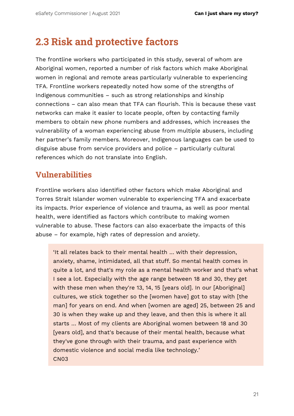### <span id="page-22-0"></span>**2.3 Risk and protective factors**

The frontline workers who participated in this study, several of whom are Aboriginal women, reported a number of risk factors which make Aboriginal women in regional and remote areas particularly vulnerable to experiencing TFA. Frontline workers repeatedly noted how some of the strengths of Indigenous communities – such as strong relationships and kinship connections – can also mean that TFA can flourish. This is because these vast networks can make it easier to locate people, often by contacting family members to obtain new phone numbers and addresses, which increases the vulnerability of a woman experiencing abuse from multiple abusers, including her partner's family members. Moreover, Indigenous languages can be used to disguise abuse from service providers and police – particularly cultural references which do not translate into English.

### **Vulnerabilities**

Frontline workers also identified other factors which make Aboriginal and Torres Strait Islander women vulnerable to experiencing TFA and exacerbate its impacts. Prior experience of violence and trauma, as well as poor mental health, were identified as factors which contribute to making women vulnerable to abuse. These factors can also exacerbate the impacts of this abuse – for example, high rates of depression and anxiety.

'It all relates back to their mental health … with their depression, anxiety, shame, intimidated, all that stuff. So mental health comes in quite a lot, and that's my role as a mental health worker and that's what I see a lot. Especially with the age range between 18 and 30, they get with these men when they're 13, 14, 15 [years old]. In our [Aboriginal] cultures, we stick together so the [women have] got to stay with [the man] for years on end. And when [women are aged] 25, between 25 and 30 is when they wake up and they leave, and then this is where it all starts … Most of my clients are Aboriginal women between 18 and 30 [years old], and that's because of their mental health, because what they've gone through with their trauma, and past experience with domestic violence and social media like technology.' CN03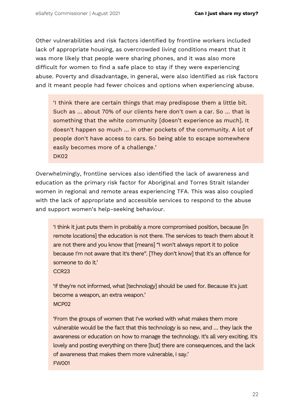Other vulnerabilities and risk factors identified by frontline workers included lack of appropriate housing, as overcrowded living conditions meant that it was more likely that people were sharing phones, and it was also more difficult for women to find a safe place to stay if they were experiencing abuse. Poverty and disadvantage, in general, were also identified as risk factors and it meant people had fewer choices and options when experiencing abuse.

'I think there are certain things that may predispose them a little bit. Such as … about 70% of our clients here don't own a car. So … that is something that the white community [doesn't experience as much]. It doesn't happen so much … in other pockets of the community. A lot of people don't have access to cars. So being able to escape somewhere easily becomes more of a challenge.' DK<sub>02</sub>

Overwhelmingly, frontline services also identified the lack of awareness and education as the primary risk factor for Aboriginal and Torres Strait Islander women in regional and remote areas experiencing TFA. This was also coupled with the lack of appropriate and accessible services to respond to the abuse and support women's help-seeking behaviour.

'I think it just puts them in probably a more compromised position, because [in remote locations] the education is not there. The services to teach them about it are not there and you know that [means] "I won't always report it to police because I'm not aware that it's there". [They don't know] that it's an offence for someone to do it.'

CCR23

'If they're not informed, what [technology] should be used for. Because it's just become a weapon, an extra weapon.' MCP02

'From the groups of women that I've worked with what makes them more vulnerable would be the fact that this technology is so new, and … they lack the awareness or education on how to manage the technology. It's all very exciting. It's lovely and posting everything on there [but] there are consequences, and the lack of awareness that makes them more vulnerable, I say.' FW001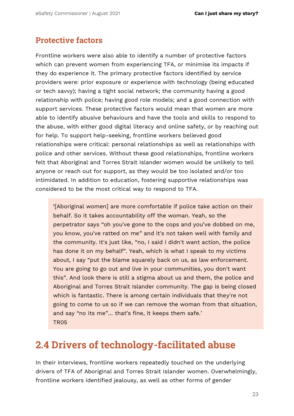### **Protective factors**

Frontline workers were also able to identify a number of protective factors which can prevent women from experiencing TFA, or minimise its impacts if they do experience it. The primary protective factors identified by service providers were: prior exposure or experience with technology (being educated or tech savvy); having a tight social network; the community having a good relationship with police; having good role models; and a good connection with support services. These protective factors would mean that women are more able to identify abusive behaviours and have the tools and skills to respond to the abuse, with either good digital literacy and online safety, or by reaching out for help. To support help-seeking, frontline workers believed good relationships were critical: personal relationships as well as relationships with police and other services. Without these good relationships, frontline workers felt that Aboriginal and Torres Strait Islander women would be unlikely to tell anyone or reach out for support, as they would be too isolated and/or too intimidated. In addition to education, fostering supportive relationships was considered to be the most critical way to respond to TFA.

'[Aboriginal women] are more comfortable if police take action on their behalf. So it takes accountability off the woman. Yeah, so the perpetrator says "oh you've gone to the cops and you've dobbed on me, you know, you've ratted on me" and it's not taken well with family and the community. It's just like, "no, I said I didn't want action, the police has done it on my behalf". Yeah, which is what I speak to my victims about, I say "put the blame squarely back on us, as law enforcement. You are going to go out and live in your communities, you don't want this". And look there is still a stigma about us and them, the police and Aboriginal and Torres Strait Islander community. The gap is being closed which is fantastic. There is among certain individuals that they're not going to come to us so if we can remove the woman from that situation, and say "no its me"… that's fine, it keeps them safe.' TR05

### <span id="page-24-0"></span>**2.4 Drivers of technology-facilitated abuse**

In their interviews, frontline workers repeatedly touched on the underlying drivers of TFA of Aboriginal and Torres Strait Islander women. Overwhelmingly, frontline workers identified jealousy, as well as other forms of gender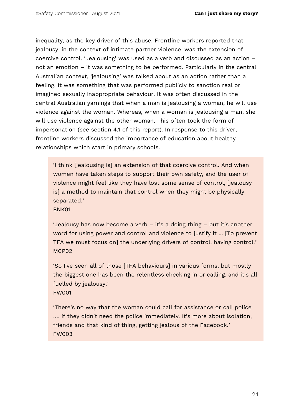inequality, as the key driver of this abuse. Frontline workers reported that jealousy, in the context of intimate partner violence, was the extension of coercive control. 'Jealousing' was used as a verb and discussed as an action – not an emotion – it was something to be performed. Particularly in the central Australian context, 'jealousing' was talked about as an action rather than a feeling. It was something that was performed publicly to sanction real or imagined sexually inappropriate behaviour. It was often discussed in the central Australian yarnings that when a man is jealousing a woman, he will use violence against the woman. Whereas, when a woman is jealousing a man, she will use violence against the other woman. This often took the form of impersonation (see section 4.1 of this report). In response to this driver, frontline workers discussed the importance of education about healthy relationships which start in primary schools.

'I think [jealousing is] an extension of that coercive control. And when women have taken steps to support their own safety, and the user of violence might feel like they have lost some sense of control, [jealousy is] a method to maintain that control when they might be physically separated.'

BNK01

'Jealousy has now become a verb – it's a doing thing – but it's another word for using power and control and violence to justify it ... [To prevent TFA we must focus on] the underlying drivers of control, having control.' MCP02

'So I've seen all of those [TFA behaviours] in various forms, but mostly the biggest one has been the relentless checking in or calling, and it's all fuelled by jealousy.' FW001

'There's no way that the woman could call for assistance or call police …. if they didn't need the police immediately. It's more about isolation, friends and that kind of thing, getting jealous of the Facebook.' FW003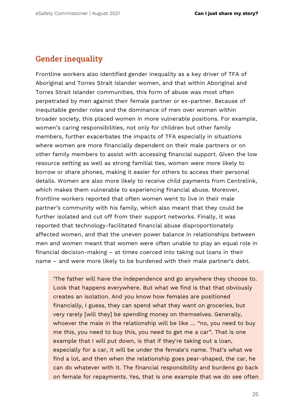#### **Gender inequality**

Frontline workers also identified gender inequality as a key driver of TFA of Aboriginal and Torres Strait Islander women, and that within Aboriginal and Torres Strait Islander communities, this form of abuse was most often perpetrated by men against their female partner or ex-partner. Because of inequitable gender roles and the dominance of men over women within broader society, this placed women in more vulnerable positions. For example, women's caring responsibilities, not only for children but other family members, further exacerbates the impacts of TFA especially in situations where women are more financially dependent on their male partners or on other family members to assist with accessing financial support. Given the low resource setting as well as strong familial ties, women were more likely to borrow or share phones, making it easier for others to access their personal details. Women are also more likely to receive child payments from Centrelink, which makes them vulnerable to experiencing financial abuse. Moreover, frontline workers reported that often women went to live in their male partner's community with his family, which also meant that they could be further isolated and cut off from their support networks. Finally, it was reported that technology-facilitated financial abuse disproportionately affected women, and that the uneven power balance in relationships between men and women meant that women were often unable to play an equal role in financial decision-making – at times coerced into taking out loans in their name – and were more likely to be burdened with their male partner's debt.

'The father will have the independence and go anywhere they choose to. Look that happens everywhere. But what we find is that that obviously creates an isolation. And you know how females are positioned financially, I guess, they can spend what they want on groceries, but very rarely [will they] be spending money on themselves. Generally, whoever the male in the relationship will be like … "no, you need to buy me this, you need to buy this, you need to get me a car". That is one example that I will put down, is that if they're taking out a loan, especially for a car, it will be under the female's name. That's what we find a lot, and then when the relationship goes pear-shaped, the car, he can do whatever with it. The financial responsibility and burdens go back on female for repayments. Yes, that is one example that we do see often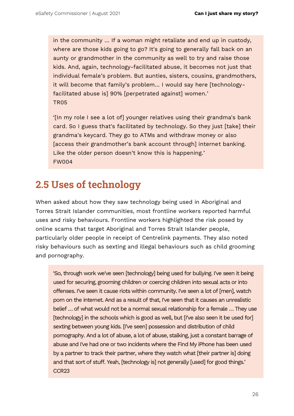in the community … If a woman might retaliate and end up in custody, where are those kids going to go? It's going to generally fall back on an aunty or grandmother in the community as well to try and raise those kids. And, again, technology-facilitated abuse, it becomes not just that individual female's problem. But aunties, sisters, cousins, grandmothers, it will become that family's problem… I would say here [technologyfacilitated abuse is] 90% [perpetrated against] women.' TR05

'[In my role I see a lot of] younger relatives using their grandma's bank card. So I guess that's facilitated by technology. So they just [take] their grandma's keycard. They go to ATMs and withdraw money or also [access their grandmother's bank account through] internet banking. Like the older person doesn't know this is happening.' FW004

### <span id="page-27-0"></span>**2.5 Uses of technology**

When asked about how they saw technology being used in Aboriginal and Torres Strait Islander communities, most frontline workers reported harmful uses and risky behaviours. Frontline workers highlighted the risk posed by online scams that target Aboriginal and Torres Strait Islander people, particularly older people in receipt of Centrelink payments. They also noted risky behaviours such as sexting and illegal behaviours such as child grooming and pornography.

'So, through work we've seen [technology] being used for bullying. I've seen it being used for securing, grooming children or coercing children into sexual acts or into offenses. I've seen it cause riots within community. I've seen a lot of [men], watch porn on the internet. And as a result of that, I've seen that it causes an unrealistic belief … of what would not be a normal sexual relationship for a female … They use [technology] in the schools which is good as well, but [I've also seen it be used for] sexting between young kids. [I've seen] possession and distribution of child pornography. And a lot of abuse, a lot of abuse, stalking, just a constant barrage of abuse and I've had one or two incidents where the Find My iPhone has been used by a partner to track their partner, where they watch what [their partner is] doing and that sort of stuff. Yeah, [technology is] not generally [used] for good things.' CCR23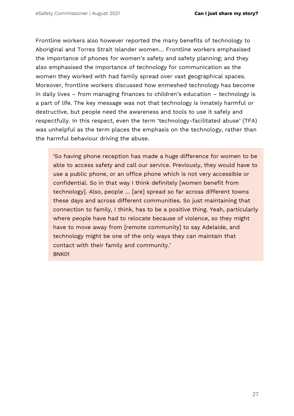Frontline workers also however reported the many benefits of technology to Aboriginal and Torres Strait Islander women… Frontline workers emphasised the importance of phones for women's safety and safety planning; and they also emphasised the importance of technology for communication as the women they worked with had family spread over vast geographical spaces. Moreover, frontline workers discussed how enmeshed technology has become in daily lives – from managing finances to children's education – technology is a part of life. The key message was not that technology is innately harmful or destructive, but people need the awareness and tools to use it safely and respectfully. In this respect, even the term 'technology-facilitated abuse' (TFA) was unhelpful as the term places the emphasis on the technology, rather than the harmful behaviour driving the abuse.

'So having phone reception has made a huge difference for women to be able to access safety and call our service. Previously, they would have to use a public phone, or an office phone which is not very accessible or confidential. So in that way I think definitely [women benefit from technology]. Also, people … [are] spread so far across different towns these days and across different communities. So just maintaining that connection to family, I think, has to be a positive thing. Yeah, particularly where people have had to relocate because of violence, so they might have to move away from [remote community] to say Adelaide, and technology might be one of the only ways they can maintain that contact with their family and community.' BNK01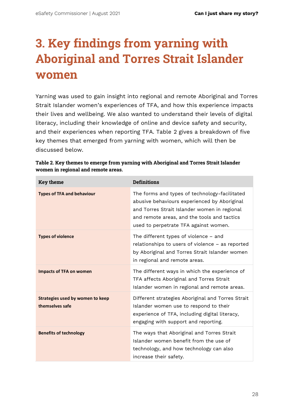# <span id="page-29-0"></span>**3. Key findings from yarning with Aboriginal and Torres Strait Islander women**

Yarning was used to gain insight into regional and remote Aboriginal and Torres Strait Islander women's experiences of TFA, and how this experience impacts their lives and wellbeing. We also wanted to understand their levels of digital literacy, including their knowledge of online and device safety and security, and their experiences when reporting TFA. Table 2 gives a breakdown of five key themes that emerged from yarning with women, which will then be discussed below.

| <b>Key theme</b>                                           | <b>Definitions</b>                                                                                                                                                                                                                    |
|------------------------------------------------------------|---------------------------------------------------------------------------------------------------------------------------------------------------------------------------------------------------------------------------------------|
| <b>Types of TFA and behaviour</b>                          | The forms and types of technology-facilitated<br>abusive behaviours experienced by Aboriginal<br>and Torres Strait Islander women in regional<br>and remote areas, and the tools and tactics<br>used to perpetrate TFA against women. |
| <b>Types of violence</b>                                   | The different types of violence - and<br>relationships to users of violence – as reported<br>by Aboriginal and Torres Strait Islander women<br>in regional and remote areas.                                                          |
| <b>Impacts of TFA on women</b>                             | The different ways in which the experience of<br>TFA affects Aboriginal and Torres Strait<br>Islander women in regional and remote areas.                                                                                             |
| <b>Strategies used by women to keep</b><br>themselves safe | Different strategies Aboriginal and Torres Strait<br>Islander women use to respond to their<br>experience of TFA, including digital literacy,<br>engaging with support and reporting.                                                 |
| <b>Benefits of technology</b>                              | The ways that Aboriginal and Torres Strait<br>Islander women benefit from the use of<br>technology, and how technology can also<br>increase their safety.                                                                             |

| Table 2. Key themes to emerge from yarning with Aboriginal and Torres Strait Islander |
|---------------------------------------------------------------------------------------|
| women in regional and remote areas.                                                   |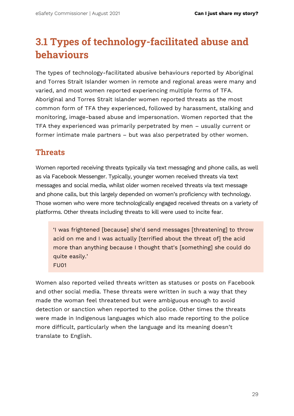## <span id="page-30-0"></span>**3.1 Types of technology-facilitated abuse and behaviours**

The types of technology-facilitated abusive behaviours reported by Aboriginal and Torres Strait Islander women in remote and regional areas were many and varied, and most women reported experiencing multiple forms of TFA. Aboriginal and Torres Strait Islander women reported threats as the most common form of TFA they experienced, followed by harassment, stalking and monitoring, image-based abuse and impersonation. Women reported that the TFA they experienced was primarily perpetrated by men – usually current or former intimate male partners – but was also perpetrated by other women.

### **Threats**

Women reported receiving threats typically via text messaging and phone calls, as well as via Facebook Messenger. Typically, younger women received threats via text messages and social media, whilst older women received threats via text message and phone calls, but this largely depended on women's proficiency with technology. Those women who were more technologically engaged received threats on a variety of platforms. Other threats including threats to kill were used to incite fear.

'I was frightened [because] she'd send messages [threatening] to throw acid on me and I was actually [terrified about the threat of] the acid more than anything because I thought that's [something] she could do quite easily.' FU01

Women also reported veiled threats written as statuses or posts on Facebook and other social media. These threats were written in such a way that they made the woman feel threatened but were ambiguous enough to avoid detection or sanction when reported to the police. Other times the threats were made in Indigenous languages which also made reporting to the police more difficult, particularly when the language and its meaning doesn't translate to English.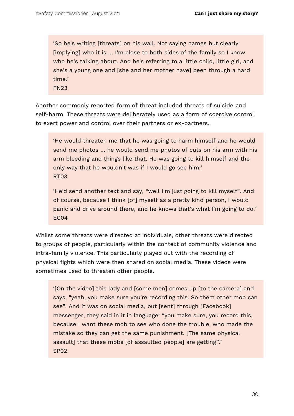'So he's writing [threats] on his wall. Not saying names but clearly [implying] who it is … I'm close to both sides of the family so I know who he's talking about. And he's referring to a little child, little girl, and she's a young one and [she and her mother have] been through a hard time.'

FN23

Another commonly reported form of threat included threats of suicide and self-harm. These threats were deliberately used as a form of coercive control to exert power and control over their partners or ex-partners.

'He would threaten me that he was going to harm himself and he would send me photos … he would send me photos of cuts on his arm with his arm bleeding and things like that. He was going to kill himself and the only way that he wouldn't was if I would go see him.' RT03

'He'd send another text and say, "well I'm just going to kill myself". And of course, because I think [of] myself as a pretty kind person, I would panic and drive around there, and he knows that's what I'm going to do.' EC04

Whilst some threats were directed at individuals, other threats were directed to groups of people, particularly within the context of community violence and intra-family violence. This particularly played out with the recording of physical fights which were then shared on social media. These videos were sometimes used to threaten other people.

'[On the video] this lady and [some men] comes up [to the camera] and says, "yeah, you make sure you're recording this. So them other mob can see". And it was on social media, but [sent] through [Facebook] messenger, they said in it in language: "you make sure, you record this, because I want these mob to see who done the trouble, who made the mistake so they can get the same punishment. [The same physical assault] that these mobs [of assaulted people] are getting".' SP02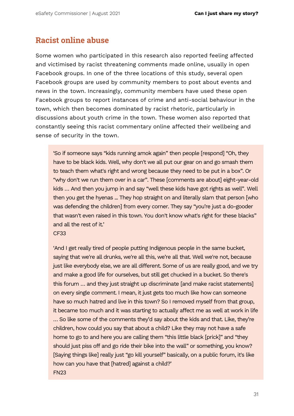#### **Racist online abuse**

Some women who participated in this research also reported feeling affected and victimised by racist threatening comments made online, usually in open Facebook groups. In one of the three locations of this study, several open Facebook groups are used by community members to post about events and news in the town. Increasingly, community members have used these open Facebook groups to report instances of crime and anti-social behaviour in the town, which then becomes dominated by racist rhetoric, particularly in discussions about youth crime in the town. These women also reported that constantly seeing this racist commentary online affected their wellbeing and sense of security in the town.

'So if someone says "kids running amok again" then people [respond] "Oh, they have to be black kids. Well, why don't we all put our gear on and go smash them to teach them what's right and wrong because they need to be put in a box". Or "why don't we run them over in a car". These [comments are about] eight-year-old kids … And then you jump in and say "well these kids have got rights as well". Well then you get the hyenas ... They hop straight on and literally slam that person [who was defending the children] from every corner. They say "you're just a do-gooder that wasn't even raised in this town. You don't know what's right for these blacks" and all the rest of it.'

#### CF33

'And I get really tired of people putting Indigenous people in the same bucket, saying that we're all drunks, we're all this, we're all that. Well we're not, because just like everybody else, we are all different. Some of us are really good, and we try and make a good life for ourselves, but still get chucked in a bucket. So there's this forum … and they just straight up discriminate [and make racist statements] on every single comment. I mean, it just gets too much like how can someone have so much hatred and live in this town? So I removed myself from that group, it became too much and it was starting to actually affect me as well at work in life … So like some of the comments they'd say about the kids and that. Like, they're children, how could you say that about a child? Like they may not have a safe home to go to and here you are calling them "this little black [prick]" and "they should just piss off and go ride their bike into the wall" or something, you know? [Saying things like] really just "go kill yourself" basically, on a public forum, it's like how can you have that [hatred] against a child?' FN23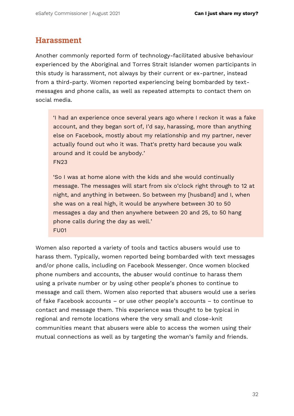#### **Harassment**

Another commonly reported form of technology-facilitated abusive behaviour experienced by the Aboriginal and Torres Strait Islander women participants in this study is harassment, not always by their current or ex-partner, instead from a third-party. Women reported experiencing being bombarded by textmessages and phone calls, as well as repeated attempts to contact them on social media.

'I had an experience once several years ago where I reckon it was a fake account, and they began sort of, I'd say, harassing, more than anything else on Facebook, mostly about my relationship and my partner, never actually found out who it was. That's pretty hard because you walk around and it could be anybody.' FN23

'So I was at home alone with the kids and she would continually message. The messages will start from six o'clock right through to 12 at night, and anything in between. So between my [husband] and I, when she was on a real high, it would be anywhere between 30 to 50 messages a day and then anywhere between 20 and 25, to 50 hang phone calls during the day as well.' FU01

Women also reported a variety of tools and tactics abusers would use to harass them. Typically, women reported being bombarded with text messages and/or phone calls, including on Facebook Messenger. Once women blocked phone numbers and accounts, the abuser would continue to harass them using a private number or by using other people's phones to continue to message and call them. Women also reported that abusers would use a series of fake Facebook accounts – or use other people's accounts – to continue to contact and message them. This experience was thought to be typical in regional and remote locations where the very small and close-knit communities meant that abusers were able to access the women using their mutual connections as well as by targeting the woman's family and friends.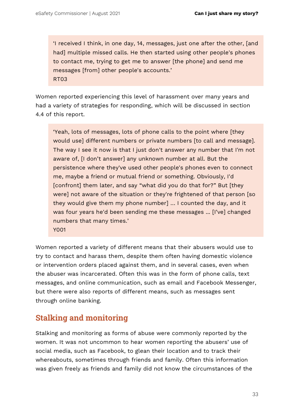'I received I think, in one day, 14, messages, just one after the other, [and had] multiple missed calls. He then started using other people's phones to contact me, trying to get me to answer [the phone] and send me messages [from] other people's accounts.' RT03

Women reported experiencing this level of harassment over many years and had a variety of strategies for responding, which will be discussed in section 4.4 of this report.

'Yeah, lots of messages, lots of phone calls to the point where [they would use] different numbers or private numbers [to call and message]. The way I see it now is that I just don't answer any number that I'm not aware of, [I don't answer] any unknown number at all. But the persistence where they've used other people's phones even to connect me, maybe a friend or mutual friend or something. Obviously, I'd [confront] them later, and say "what did you do that for?" But [they were] not aware of the situation or they're frightened of that person [so they would give them my phone number] … I counted the day, and it was four years he'd been sending me these messages ... [I've] changed numbers that many times.' Y001

Women reported a variety of different means that their abusers would use to try to contact and harass them, despite them often having domestic violence or intervention orders placed against them, and in several cases, even when the abuser was incarcerated. Often this was in the form of phone calls, text messages, and online communication, such as email and Facebook Messenger, but there were also reports of different means, such as messages sent through online banking.

### **Stalking and monitoring**

Stalking and monitoring as forms of abuse were commonly reported by the women. It was not uncommon to hear women reporting the abusers' use of social media, such as Facebook, to glean their location and to track their whereabouts, sometimes through friends and family. Often this information was given freely as friends and family did not know the circumstances of the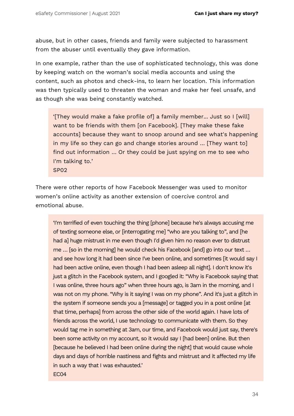abuse, but in other cases, friends and family were subjected to harassment from the abuser until eventually they gave information.

In one example, rather than the use of sophisticated technology, this was done by keeping watch on the woman's social media accounts and using the content, such as photos and check-ins, to learn her location. This information was then typically used to threaten the woman and make her feel unsafe, and as though she was being constantly watched.

'[They would make a fake profile of] a family member... Just so I [will] want to be friends with them [on Facebook]. [They make these fake accounts] because they want to snoop around and see what's happening in my life so they can go and change stories around … [They want to] find out information … Or they could be just spying on me to see who I'm talking to.' SP02

There were other reports of how Facebook Messenger was used to monitor women's online activity as another extension of coercive control and emotional abuse.

'I'm terrified of even touching the thing [phone] because he's always accusing me of texting someone else, or [interrogating me] "who are you talking to", and [he had a] huge mistrust in me even though I'd given him no reason ever to distrust me … [so in the morning] he would check his Facebook [and] go into our text … and see how long it had been since I've been online, and sometimes [it would say I had been active online, even though I had been asleep all night]. I don't know it's just a glitch in the Facebook system, and I googled it: "Why is Facebook saying that I was online, three hours ago" when three hours ago, is 3am in the morning, and I was not on my phone. "Why is it saying I was on my phone". And it's just a glitch in the system if someone sends you a [message] or tagged you in a post online [at that time, perhaps] from across the other side of the world again. I have lots of friends across the world, I use technology to communicate with them. So they would tag me in something at 3am, our time, and Facebook would just say, there's been some activity on my account, so it would say I [had been] online. But then [because he believed I had been online during the night] that would cause whole days and days of horrible nastiness and fights and mistrust and it affected my life in such a way that I was exhausted.' EC04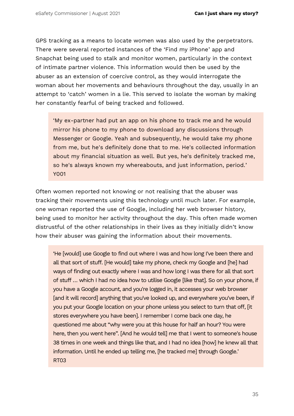GPS tracking as a means to locate women was also used by the perpetrators. There were several reported instances of the 'Find my iPhone' app and Snapchat being used to stalk and monitor women, particularly in the context of intimate partner violence. This information would then be used by the abuser as an extension of coercive control, as they would interrogate the woman about her movements and behaviours throughout the day, usually in an attempt to 'catch' women in a lie. This served to isolate the woman by making her constantly fearful of being tracked and followed.

'My ex-partner had put an app on his phone to track me and he would mirror his phone to my phone to download any discussions through Messenger or Google. Yeah and subsequently, he would take my phone from me, but he's definitely done that to me. He's collected information about my financial situation as well. But yes, he's definitely tracked me, so he's always known my whereabouts, and just information, period.' Y001

Often women reported not knowing or not realising that the abuser was tracking their movements using this technology until much later. For example, one woman reported the use of Google, including her web browser history, being used to monitor her activity throughout the day. This often made women distrustful of the other relationships in their lives as they initially didn't know how their abuser was gaining the information about their movements.

'He [would] use Google to find out where I was and how long I've been there and all that sort of stuff. [He would] take my phone, check my Google and [he] had ways of finding out exactly where I was and how long I was there for all that sort of stuff … which I had no idea how to utilise Google [like that]. So on your phone, if you have a Google account, and you're logged in, it accesses your web browser [and it will record] anything that you've looked up, and everywhere you've been, if you put your Google location on your phone unless you select to turn that off, [it stores everywhere you have been]. I remember I come back one day, he questioned me about "why were you at this house for half an hour? You were here, then you went here". [And he would tell] me that I went to someone's house 38 times in one week and things like that, and I had no idea [how] he knew all that information. Until he ended up telling me, [he tracked me] through Google.' RT03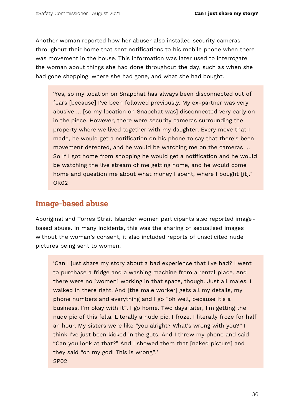Another woman reported how her abuser also installed security cameras throughout their home that sent notifications to his mobile phone when there was movement in the house. This information was later used to interrogate the woman about things she had done throughout the day, such as when she had gone shopping, where she had gone, and what she had bought.

'Yes, so my location on Snapchat has always been disconnected out of fears [because] I've been followed previously. My ex-partner was very abusive … [so my location on Snapchat was] disconnected very early on in the piece. However, there were security cameras surrounding the property where we lived together with my daughter. Every move that I made, he would get a notification on his phone to say that there's been movement detected, and he would be watching me on the cameras … So If I got home from shopping he would get a notification and he would be watching the live stream of me getting home, and he would come home and question me about what money I spent, where I bought [it].' OK02

### **Image-based abuse**

Aboriginal and Torres Strait Islander women participants also reported imagebased abuse. In many incidents, this was the sharing of sexualised images without the woman's consent, it also included reports of unsolicited nude pictures being sent to women.

'Can I just share my story about a bad experience that I've had? I went to purchase a fridge and a washing machine from a rental place. And there were no [women] working in that space, though. Just all males. I walked in there right. And [the male worker] gets all my details, my phone numbers and everything and I go "oh well, because it's a business. I'm okay with it". I go home. Two days later, I'm getting the nude pic of this fella. Literally a nude pic. I froze. I literally froze for half an hour. My sisters were like "you alright? What's wrong with you?" I think I've just been kicked in the guts. And I threw my phone and said "Can you look at that?" And I showed them that [naked picture] and they said "oh my god! This is wrong".' SP02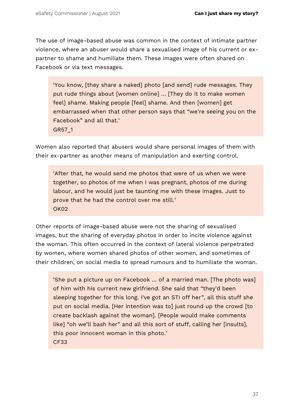The use of image-based abuse was common in the context of intimate partner violence, where an abuser would share a sexualised image of his current or expartner to shame and humiliate them. These images were often shared on Facebook or via text messages.

'You know, [they share a naked] photo [and send] rude messages. They put rude things about [women online] … [They do it to make women feel] shame. Making people [feel] shame. And then [women] get embarrassed when that other person says that "we're seeing you on the Facebook" and all that.' GR57\_1

Women also reported that abusers would share personal images of them with their ex-partner as another means of manipulation and exerting control.

'After that, he would send me photos that were of us when we were together, so photos of me when I was pregnant, photos of me during labour, and he would just be taunting me with these images. Just to prove that he had the control over me still.' OK02

Other reports of image-based abuse were not the sharing of sexualised images, but the sharing of everyday photos in order to incite violence against the woman. This often occurred in the context of lateral violence perpetrated by women, where women shared photos of other women, and sometimes of their children, on social media to spread rumours and to humiliate the woman.

'She put a picture up on Facebook … of a married man. [The photo was] of him with his current new girlfriend. She said that "they'd been sleeping together for this long. I've got an STI off her", all this stuff she put on social media. [Her intention was to] just round up the crowd [to create backlash against the woman]. [People would make comments like] "oh we'll bash her" and all this sort of stuff, calling her [insults], this poor innocent woman in this photo.' CF33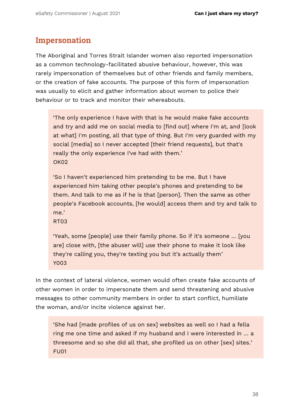### **Impersonation**

The Aboriginal and Torres Strait Islander women also reported impersonation as a common technology-facilitated abusive behaviour, however, this was rarely impersonation of themselves but of other friends and family members, or the creation of fake accounts. The purpose of this form of impersonation was usually to elicit and gather information about women to police their behaviour or to track and monitor their whereabouts.

'The only experience I have with that is he would make fake accounts and try and add me on social media to [find out] where I'm at, and [look at what] I'm posting, all that type of thing. But I'm very guarded with my social [media] so I never accepted [their friend requests], but that's really the only experience I've had with them.' OK02

'So I haven't experienced him pretending to be me. But I have experienced him taking other people's phones and pretending to be them. And talk to me as if he is that [person]. Then the same as other people's Facebook accounts, [he would] access them and try and talk to me.'

RT03

'Yeah, some [people] use their family phone. So if it's someone … [you are] close with, [the abuser will] use their phone to make it look like they're calling you, they're texting you but it's actually them' Y003

In the context of lateral violence, women would often create fake accounts of other women in order to impersonate them and send threatening and abusive messages to other community members in order to start conflict, humiliate the woman, and/or incite violence against her.

'She had [made profiles of us on sex] websites as well so I had a fella ring me one time and asked if my husband and I were interested in … a threesome and so she did all that, she profiled us on other [sex] sites.' FU01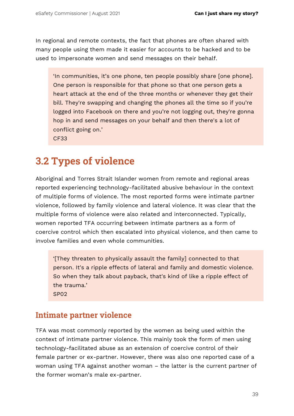In regional and remote contexts, the fact that phones are often shared with many people using them made it easier for accounts to be hacked and to be used to impersonate women and send messages on their behalf.

'In communities, it's one phone, ten people possibly share [one phone]. One person is responsible for that phone so that one person gets a heart attack at the end of the three months or whenever they get their bill. They're swapping and changing the phones all the time so if you're logged into Facebook on there and you're not logging out, they're gonna hop in and send messages on your behalf and then there's a lot of conflict going on.' CF33

## **3.2 Types of violence**

Aboriginal and Torres Strait Islander women from remote and regional areas reported experiencing technology-facilitated abusive behaviour in the context of multiple forms of violence. The most reported forms were intimate partner violence, followed by family violence and lateral violence. It was clear that the multiple forms of violence were also related and interconnected. Typically, women reported TFA occurring between intimate partners as a form of coercive control which then escalated into physical violence, and then came to involve families and even whole communities.

'[They threaten to physically assault the family] connected to that person. It's a ripple effects of lateral and family and domestic violence. So when they talk about payback, that's kind of like a ripple effect of the trauma.' SP02

## **Intimate partner violence**

TFA was most commonly reported by the women as being used within the context of intimate partner violence. This mainly took the form of men using technology-facilitated abuse as an extension of coercive control of their female partner or ex-partner. However, there was also one reported case of a woman using TFA against another woman – the latter is the current partner of the former woman's male ex-partner.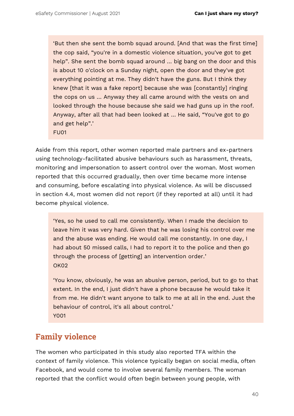'But then she sent the bomb squad around. [And that was the first time] the cop said, "you're in a domestic violence situation, you've got to get help". She sent the bomb squad around … big bang on the door and this is about 10 o'clock on a Sunday night, open the door and they've got everything pointing at me. They didn't have the guns. But I think they knew [that it was a fake report] because she was [constantly] ringing the cops on us … Anyway they all came around with the vests on and looked through the house because she said we had guns up in the roof. Anyway, after all that had been looked at … He said, "You've got to go and get help".'

FU01

Aside from this report, other women reported male partners and ex-partners using technology-facilitated abusive behaviours such as harassment, threats, monitoring and impersonation to assert control over the woman. Most women reported that this occurred gradually, then over time became more intense and consuming, before escalating into physical violence. As will be discussed in section 4.4, most women did not report (if they reported at all) until it had become physical violence.

'Yes, so he used to call me consistently. When I made the decision to leave him it was very hard. Given that he was losing his control over me and the abuse was ending. He would call me constantly. In one day, I had about 50 missed calls, I had to report it to the police and then go through the process of [getting] an intervention order.' OK02

'You know, obviously, he was an abusive person, period, but to go to that extent. In the end, I just didn't have a phone because he would take it from me. He didn't want anyone to talk to me at all in the end. Just the behaviour of control, it's all about control.' Y001

## **Family violence**

The women who participated in this study also reported TFA within the context of family violence. This violence typically began on social media, often Facebook, and would come to involve several family members. The woman reported that the conflict would often begin between young people, with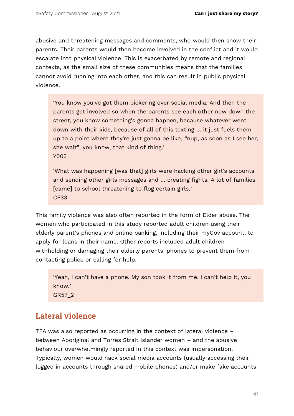abusive and threatening messages and comments, who would then show their parents. Their parents would then become involved in the conflict and it would escalate into physical violence. This is exacerbated by remote and regional contexts, as the small size of these communities means that the families cannot avoid running into each other, and this can result in public physical violence.

'You know you've got them bickering over social media. And then the parents get involved so when the parents see each other now down the street, you know something's gonna happen, because whatever went down with their kids, because of all of this texting … it just fuels them up to a point where they're just gonna be like, "nup, as soon as I see her, she wait", you know, that kind of thing.' Y003

'What was happening [was that] girls were hacking other girl's accounts and sending other girls messages and … creating fights. A lot of families [came] to school threatening to flog certain girls.' CF33

This family violence was also often reported in the form of Elder abuse. The women who participated in this study reported adult children using their elderly parent's phones and online banking, including their myGov account, to apply for loans in their name. Other reports included adult children withholding or damaging their elderly parents' phones to prevent them from contacting police or calling for help.

'Yeah, I can't have a phone. My son took it from me. I can't help it, you know.' GR57\_2

## **Lateral violence**

TFA was also reported as occurring in the context of lateral violence – between Aboriginal and Torres Strait Islander women – and the abusive behaviour overwhelmingly reported in this context was impersonation. Typically, women would hack social media accounts (usually accessing their logged in accounts through shared mobile phones) and/or make fake accounts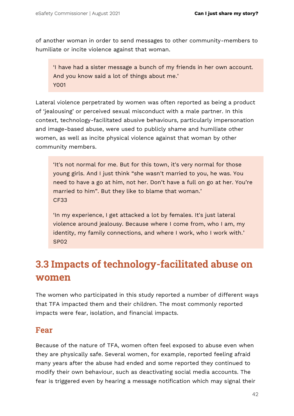of another woman in order to send messages to other community-members to humiliate or incite violence against that woman.

'I have had a sister message a bunch of my friends in her own account. And you know said a lot of things about me.' Y001

Lateral violence perpetrated by women was often reported as being a product of 'jealousing' or perceived sexual misconduct with a male partner. In this context, technology-facilitated abusive behaviours, particularly impersonation and image-based abuse, were used to publicly shame and humiliate other women, as well as incite physical violence against that woman by other community members.

'It's not normal for me. But for this town, it's very normal for those young girls. And I just think "she wasn't married to you, he was. You need to have a go at him, not her. Don't have a full on go at her. You're married to him". But they like to blame that woman.' CF33

'In my experience, I get attacked a lot by females. It's just lateral violence around jealousy. Because where I come from, who I am, my identity, my family connections, and where I work, who I work with.' SP02

## **3.3 Impacts of technology-facilitated abuse on women**

The women who participated in this study reported a number of different ways that TFA impacted them and their children. The most commonly reported impacts were fear, isolation, and financial impacts.

### **Fear**

Because of the nature of TFA, women often feel exposed to abuse even when they are physically safe. Several women, for example, reported feeling afraid many years after the abuse had ended and some reported they continued to modify their own behaviour, such as deactivating social media accounts. The fear is triggered even by hearing a message notification which may signal their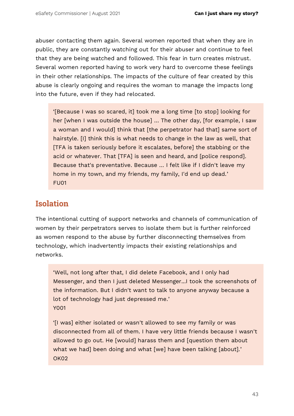abuser contacting them again. Several women reported that when they are in public, they are constantly watching out for their abuser and continue to feel that they are being watched and followed. This fear in turn creates mistrust. Several women reported having to work very hard to overcome these feelings in their other relationships. The impacts of the culture of fear created by this abuse is clearly ongoing and requires the woman to manage the impacts long into the future, even if they had relocated.

'[Because I was so scared, it] took me a long time [to stop] looking for her [when I was outside the house] … The other day, [for example, I saw a woman and I would] think that [the perpetrator had that] same sort of hairstyle. [I] think this is what needs to change in the law as well, that [TFA is taken seriously before it escalates, before] the stabbing or the acid or whatever. That [TFA] is seen and heard, and [police respond]. Because that's preventative. Because … I felt like if I didn't leave my home in my town, and my friends, my family, I'd end up dead.' FU01

### **Isolation**

The intentional cutting of support networks and channels of communication of women by their perpetrators serves to isolate them but is further reinforced as women respond to the abuse by further disconnecting themselves from technology, which inadvertently impacts their existing relationships and networks.

'Well, not long after that, I did delete Facebook, and I only had Messenger, and then I just deleted Messenger...I took the screenshots of the information. But I didn't want to talk to anyone anyway because a lot of technology had just depressed me.' Y001

'[I was] either isolated or wasn't allowed to see my family or was disconnected from all of them. I have very little friends because I wasn't allowed to go out. He [would] harass them and [question them about what we had] been doing and what [we] have been talking [about].' OK02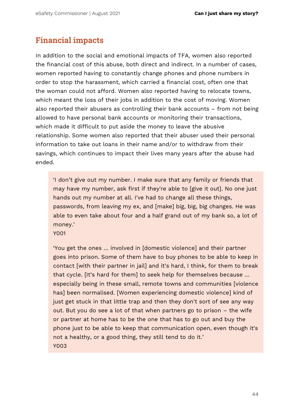## **Financial impacts**

In addition to the social and emotional impacts of TFA, women also reported the financial cost of this abuse, both direct and indirect. In a number of cases, women reported having to constantly change phones and phone numbers in order to stop the harassment, which carried a financial cost, often one that the woman could not afford. Women also reported having to relocate towns, which meant the loss of their jobs in addition to the cost of moving. Women also reported their abusers as controlling their bank accounts – from not being allowed to have personal bank accounts or monitoring their transactions, which made it difficult to put aside the money to leave the abusive relationship. Some women also reported that their abuser used their personal information to take out loans in their name and/or to withdraw from their savings, which continues to impact their lives many years after the abuse had ended.

'I don't give out my number. I make sure that any family or friends that may have my number, ask first if they're able to [give it out]. No one just hands out my number at all. I've had to change all these things, passwords, from leaving my ex, and [make] big, big, big changes. He was able to even take about four and a half grand out of my bank so, a lot of money.'

Y001

'You get the ones … involved in [domestic violence] and their partner goes into prison. Some of them have to buy phones to be able to keep in contact [with their partner in jail] and it's hard, I think, for them to break that cycle. [It's hard for them] to seek help for themselves because … especially being in these small, remote towns and communities [violence has] been normalised. [Women experiencing domestic violence] kind of just get stuck in that little trap and then they don't sort of see any way out. But you do see a lot of that when partners go to prison – the wife or partner at home has to be the one that has to go out and buy the phone just to be able to keep that communication open, even though it's not a healthy, or a good thing, they still tend to do it.' Y003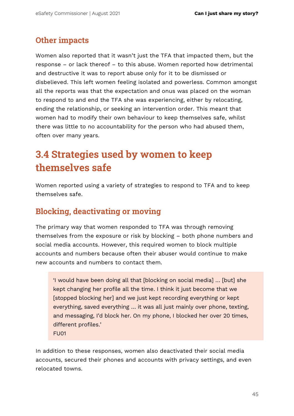### **Other impacts**

Women also reported that it wasn't just the TFA that impacted them, but the response – or lack thereof – to this abuse. Women reported how detrimental and destructive it was to report abuse only for it to be dismissed or disbelieved. This left women feeling isolated and powerless. Common amongst all the reports was that the expectation and onus was placed on the woman to respond to and end the TFA she was experiencing, either by relocating, ending the relationship, or seeking an intervention order. This meant that women had to modify their own behaviour to keep themselves safe, whilst there was little to no accountability for the person who had abused them, often over many years.

## **3.4 Strategies used by women to keep themselves safe**

Women reported using a variety of strategies to respond to TFA and to keep themselves safe.

## **Blocking, deactivating or moving**

The primary way that women responded to TFA was through removing themselves from the exposure or risk by blocking – both phone numbers and social media accounts. However, this required women to block multiple accounts and numbers because often their abuser would continue to make new accounts and numbers to contact them.

'I would have been doing all that [blocking on social media] … [but] she kept changing her profile all the time. I think it just become that we [stopped blocking her] and we just kept recording everything or kept everything, saved everything … it was all just mainly over phone, texting, and messaging, I'd block her. On my phone, I blocked her over 20 times, different profiles.' FU01

In addition to these responses, women also deactivated their social media accounts, secured their phones and accounts with privacy settings, and even relocated towns.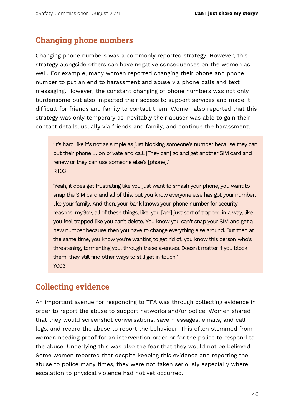### **Changing phone numbers**

Changing phone numbers was a commonly reported strategy. However, this strategy alongside others can have negative consequences on the women as well. For example, many women reported changing their phone and phone number to put an end to harassment and abuse via phone calls and text messaging. However, the constant changing of phone numbers was not only burdensome but also impacted their access to support services and made it difficult for friends and family to contact them. Women also reported that this strategy was only temporary as inevitably their abuser was able to gain their contact details, usually via friends and family, and continue the harassment.

'It's hard like it's not as simple as just blocking someone's number because they can put their phone … on private and call. [They can] go and get another SIM card and renew or they can use someone else's [phone].' RT03

'Yeah, it does get frustrating like you just want to smash your phone, you want to snap the SIM card and all of this, but you know everyone else has got your number, like your family. And then, your bank knows your phone number for security reasons, myGov, all of these things, like, you [are] just sort of trapped in a way, like you feel trapped like you can't delete. You know you can't snap your SIM and get a new number because then you have to change everything else around. But then at the same time, you know you're wanting to get rid of, you know this person who's threatening, tormenting you, through these avenues. Doesn't matter if you block them, they still find other ways to still get in touch.' Y003

### **Collecting evidence**

An important avenue for responding to TFA was through collecting evidence in order to report the abuse to support networks and/or police. Women shared that they would screenshot conversations, save messages, emails, and call logs, and record the abuse to report the behaviour. This often stemmed from women needing proof for an intervention order or for the police to respond to the abuse. Underlying this was also the fear that they would not be believed. Some women reported that despite keeping this evidence and reporting the abuse to police many times, they were not taken seriously especially where escalation to physical violence had not yet occurred.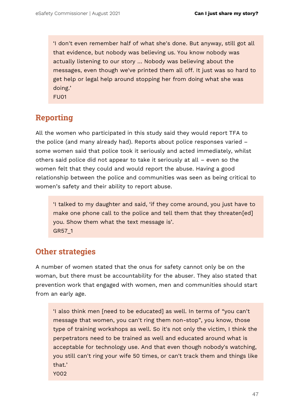'I don't even remember half of what she's done. But anyway, still got all that evidence, but nobody was believing us. You know nobody was actually listening to our story … Nobody was believing about the messages, even though we've printed them all off. It just was so hard to get help or legal help around stopping her from doing what she was doing.' FU01

**Reporting**

All the women who participated in this study said they would report TFA to the police (and many already had). Reports about police responses varied – some women said that police took it seriously and acted immediately, whilst others said police did not appear to take it seriously at all – even so the women felt that they could and would report the abuse. Having a good relationship between the police and communities was seen as being critical to women's safety and their ability to report abuse.

'I talked to my daughter and said, 'if they come around, you just have to make one phone call to the police and tell them that they threaten[ed] you. Show them what the text message is'. GR57\_1

### **Other strategies**

A number of women stated that the onus for safety cannot only be on the woman, but there must be accountability for the abuser. They also stated that prevention work that engaged with women, men and communities should start from an early age.

'I also think men [need to be educated] as well. In terms of "you can't message that women, you can't ring them non-stop", you know, those type of training workshops as well. So it's not only the victim, I think the perpetrators need to be trained as well and educated around what is acceptable for technology use. And that even though nobody's watching, you still can't ring your wife 50 times, or can't track them and things like that.'

Y002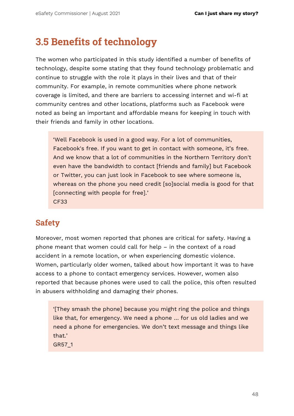## **3.5 Benefits of technology**

The women who participated in this study identified a number of benefits of technology, despite some stating that they found technology problematic and continue to struggle with the role it plays in their lives and that of their community. For example, in remote communities where phone network coverage is limited, and there are barriers to accessing internet and wi-fi at community centres and other locations, platforms such as Facebook were noted as being an important and affordable means for keeping in touch with their friends and family in other locations.

'Well Facebook is used in a good way. For a lot of communities, Facebook's free. If you want to get in contact with someone, it's free. And we know that a lot of communities in the Northern Territory don't even have the bandwidth to contact [friends and family] but Facebook or Twitter, you can just look in Facebook to see where someone is, whereas on the phone you need credit [so]social media is good for that [connecting with people for free].' CF33

## **Safety**

Moreover, most women reported that phones are critical for safety. Having a phone meant that women could call for help – in the context of a road accident in a remote location, or when experiencing domestic violence. Women, particularly older women, talked about how important it was to have access to a phone to contact emergency services. However, women also reported that because phones were used to call the police, this often resulted in abusers withholding and damaging their phones.

'[They smash the phone] because you might ring the police and things like that, for emergency. We need a phone … for us old ladies and we need a phone for emergencies. We don't text message and things like that.'

GR57\_1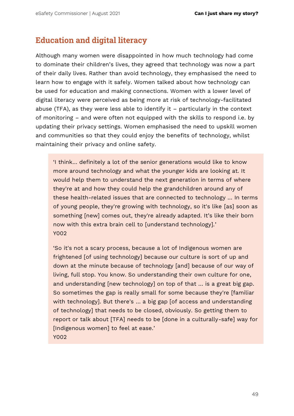## **Education and digital literacy**

Although many women were disappointed in how much technology had come to dominate their children's lives, they agreed that technology was now a part of their daily lives. Rather than avoid technology, they emphasised the need to learn how to engage with it safely. Women talked about how technology can be used for education and making connections. Women with a lower level of digital literacy were perceived as being more at risk of technology-facilitated abuse (TFA), as they were less able to identify it – particularly in the context of monitoring – and were often not equipped with the skills to respond i.e. by updating their privacy settings. Women emphasised the need to upskill women and communities so that they could enjoy the benefits of technology, whilst maintaining their privacy and online safety.

'I think… definitely a lot of the senior generations would like to know more around technology and what the younger kids are looking at. It would help them to understand the next generation in terms of where they're at and how they could help the grandchildren around any of these health-related issues that are connected to technology … In terms of young people, they're growing with technology, so it's like [as] soon as something [new] comes out, they're already adapted. It's like their born now with this extra brain cell to [understand technology].' Y002

'So it's not a scary process, because a lot of Indigenous women are frightened [of using technology] because our culture is sort of up and down at the minute because of technology [and] because of our way of living, full stop. You know. So understanding their own culture for one, and understanding [new technology] on top of that … is a great big gap. So sometimes the gap is really small for some because they're [familiar with technology]. But there's … a big gap [of access and understanding of technology] that needs to be closed, obviously. So getting them to report or talk about [TFA] needs to be [done in a culturally-safe] way for [Indigenous women] to feel at ease.' Y002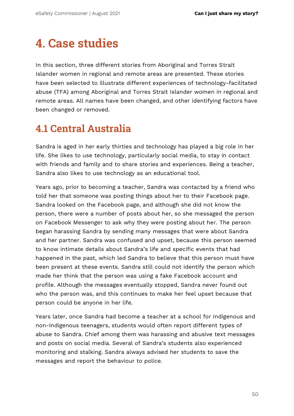# **4. Case studies**

In this section, three different stories from Aboriginal and Torres Strait Islander women in regional and remote areas are presented. These stories have been selected to illustrate different experiences of technology-facilitated abuse (TFA) among Aboriginal and Torres Strait Islander women in regional and remote areas. All names have been changed, and other identifying factors have been changed or removed.

## **4.1 Central Australia**

Sandra is aged in her early thirties and technology has played a big role in her life. She likes to use technology, particularly social media, to stay in contact with friends and family and to share stories and experiences. Being a teacher, Sandra also likes to use technology as an educational tool.

Years ago, prior to becoming a teacher, Sandra was contacted by a friend who told her that someone was posting things about her to their Facebook page. Sandra looked on the Facebook page, and although she did not know the person, there were a number of posts about her, so she messaged the person on Facebook Messenger to ask why they were posting about her. The person began harassing Sandra by sending many messages that were about Sandra and her partner. Sandra was confused and upset, because this person seemed to know intimate details about Sandra's life and specific events that had happened in the past, which led Sandra to believe that this person must have been present at these events. Sandra still could not identify the person which made her think that the person was using a fake Facebook account and profile. Although the messages eventually stopped, Sandra never found out who the person was, and this continues to make her feel upset because that person could be anyone in her life.

Years later, once Sandra had become a teacher at a school for Indigenous and non-Indigenous teenagers, students would often report different types of abuse to Sandra. Chief among them was harassing and abusive text messages and posts on social media. Several of Sandra's students also experienced monitoring and stalking. Sandra always advised her students to save the messages and report the behaviour to police.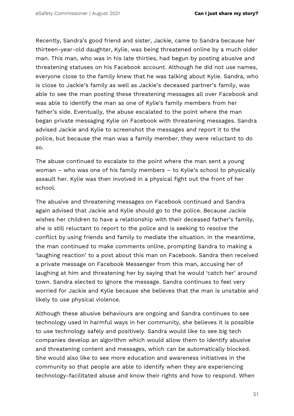Recently, Sandra's good friend and sister, Jackie, came to Sandra because her thirteen-year-old daughter, Kylie, was being threatened online by a much older man. This man, who was in his late thirties, had begun by posting abusive and threatening statuses on his Facebook account. Although he did not use names, everyone close to the family knew that he was talking about Kylie. Sandra, who is close to Jackie's family as well as Jackie's deceased partner's family, was able to see the man posting these threatening messages all over Facebook and was able to identify the man as one of Kylie's family members from her father's side. Eventually, the abuse escalated to the point where the man began private messaging Kylie on Facebook with threatening messages. Sandra advised Jackie and Kylie to screenshot the messages and report it to the police, but because the man was a family member, they were reluctant to do so.

The abuse continued to escalate to the point where the man sent a young woman – who was one of his family members – to Kylie's school to physically assault her. Kylie was then involved in a physical fight out the front of her school.

The abusive and threatening messages on Facebook continued and Sandra again advised that Jackie and Kylie should go to the police. Because Jackie wishes her children to have a relationship with their deceased father's family, she is still reluctant to report to the police and is seeking to resolve the conflict by using friends and family to mediate the situation. In the meantime, the man continued to make comments online, prompting Sandra to making a 'laughing reaction' to a post about this man on Facebook. Sandra then received a private message on Facebook Messenger from this man, accusing her of laughing at him and threatening her by saying that he would 'catch her' around town. Sandra elected to ignore the message. Sandra continues to feel very worried for Jackie and Kylie because she believes that the man is unstable and likely to use physical violence.

Although these abusive behaviours are ongoing and Sandra continues to see technology used in harmful ways in her community, she believes it is possible to use technology safely and positively. Sandra would like to see big tech companies develop an algorithm which would allow them to identify abusive and threatening content and messages, which can be automatically blocked. She would also like to see more education and awareness initiatives in the community so that people are able to identify when they are experiencing technology-facilitated abuse and know their rights and how to respond. When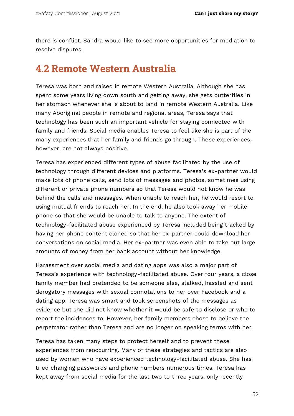there is conflict, Sandra would like to see more opportunities for mediation to resolve disputes.

## **4.2 Remote Western Australia**

Teresa was born and raised in remote Western Australia. Although she has spent some years living down south and getting away, she gets butterflies in her stomach whenever she is about to land in remote Western Australia. Like many Aboriginal people in remote and regional areas, Teresa says that technology has been such an important vehicle for staying connected with family and friends. Social media enables Teresa to feel like she is part of the many experiences that her family and friends go through. These experiences, however, are not always positive.

Teresa has experienced different types of abuse facilitated by the use of technology through different devices and platforms. Teresa's ex-partner would make lots of phone calls, send lots of messages and photos, sometimes using different or private phone numbers so that Teresa would not know he was behind the calls and messages. When unable to reach her, he would resort to using mutual friends to reach her. In the end, he also took away her mobile phone so that she would be unable to talk to anyone. The extent of technology-facilitated abuse experienced by Teresa included being tracked by having her phone content cloned so that her ex-partner could download her conversations on social media. Her ex-partner was even able to take out large amounts of money from her bank account without her knowledge.

Harassment over social media and dating apps was also a major part of Teresa's experience with technology-facilitated abuse. Over four years, a close family member had pretended to be someone else, stalked, hassled and sent derogatory messages with sexual connotations to her over Facebook and a dating app. Teresa was smart and took screenshots of the messages as evidence but she did not know whether it would be safe to disclose or who to report the incidences to. However, her family members chose to believe the perpetrator rather than Teresa and are no longer on speaking terms with her.

Teresa has taken many steps to protect herself and to prevent these experiences from reoccurring. Many of these strategies and tactics are also used by women who have experienced technology-facilitated abuse. She has tried changing passwords and phone numbers numerous times. Teresa has kept away from social media for the last two to three years, only recently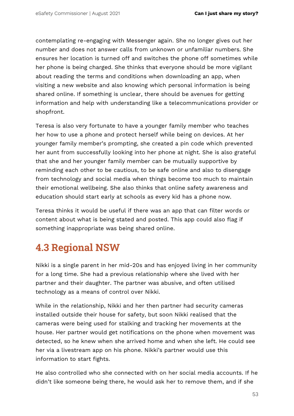contemplating re-engaging with Messenger again. She no longer gives out her number and does not answer calls from unknown or unfamiliar numbers. She ensures her location is turned off and switches the phone off sometimes while her phone is being charged. She thinks that everyone should be more vigilant about reading the terms and conditions when downloading an app, when visiting a new website and also knowing which personal information is being shared online. If something is unclear, there should be avenues for getting information and help with understanding like a telecommunications provider or shopfront.

Teresa is also very fortunate to have a younger family member who teaches her how to use a phone and protect herself while being on devices. At her younger family member's prompting, she created a pin code which prevented her aunt from successfully looking into her phone at night. She is also grateful that she and her younger family member can be mutually supportive by reminding each other to be cautious, to be safe online and also to disengage from technology and social media when things become too much to maintain their emotional wellbeing. She also thinks that online safety awareness and education should start early at schools as every kid has a phone now.

Teresa thinks it would be useful if there was an app that can filter words or content about what is being stated and posted. This app could also flag if something inappropriate was being shared online.

## **4.3 Regional NSW**

Nikki is a single parent in her mid-20s and has enjoyed living in her community for a long time. She had a previous relationship where she lived with her partner and their daughter. The partner was abusive, and often utilised technology as a means of control over Nikki.

While in the relationship, Nikki and her then partner had security cameras installed outside their house for safety, but soon Nikki realised that the cameras were being used for stalking and tracking her movements at the house. Her partner would get notifications on the phone when movement was detected, so he knew when she arrived home and when she left. He could see her via a livestream app on his phone. Nikki's partner would use this information to start fights.

He also controlled who she connected with on her social media accounts. If he didn't like someone being there, he would ask her to remove them, and if she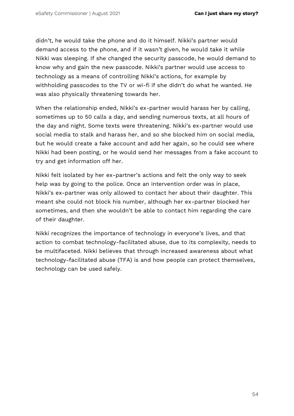didn't, he would take the phone and do it himself. Nikki's partner would demand access to the phone, and if it wasn't given, he would take it while Nikki was sleeping. If she changed the security passcode, he would demand to know why and gain the new passcode. Nikki's partner would use access to technology as a means of controlling Nikki's actions, for example by withholding passcodes to the TV or wi-fi if she didn't do what he wanted. He was also physically threatening towards her.

When the relationship ended, Nikki's ex-partner would harass her by calling, sometimes up to 50 calls a day, and sending numerous texts, at all hours of the day and night. Some texts were threatening. Nikki's ex-partner would use social media to stalk and harass her, and so she blocked him on social media, but he would create a fake account and add her again, so he could see where Nikki had been posting, or he would send her messages from a fake account to try and get information off her.

Nikki felt isolated by her ex-partner's actions and felt the only way to seek help was by going to the police. Once an intervention order was in place, Nikki's ex-partner was only allowed to contact her about their daughter. This meant she could not block his number, although her ex-partner blocked her sometimes, and then she wouldn't be able to contact him regarding the care of their daughter.

Nikki recognizes the importance of technology in everyone's lives, and that action to combat technology-facilitated abuse, due to its complexity, needs to be multifaceted. Nikki believes that through increased awareness about what technology-facilitated abuse (TFA) is and how people can protect themselves, technology can be used safely.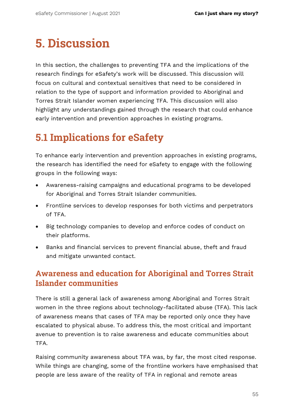# **5. Discussion**

In this section, the challenges to preventing TFA and the implications of the research findings for eSafety's work will be discussed. This discussion will focus on cultural and contextual sensitives that need to be considered in relation to the type of support and information provided to Aboriginal and Torres Strait Islander women experiencing TFA. This discussion will also highlight any understandings gained through the research that could enhance early intervention and prevention approaches in existing programs.

## **5.1 Implications for eSafety**

To enhance early intervention and prevention approaches in existing programs, the research has identified the need for eSafety to engage with the following groups in the following ways:

- Awareness-raising campaigns and educational programs to be developed for Aboriginal and Torres Strait Islander communities.
- Frontline services to develop responses for both victims and perpetrators of TFA.
- Big technology companies to develop and enforce codes of conduct on their platforms.
- Banks and financial services to prevent financial abuse, theft and fraud and mitigate unwanted contact.

## **Awareness and education for Aboriginal and Torres Strait Islander communities**

There is still a general lack of awareness among Aboriginal and Torres Strait women in the three regions about technology-facilitated abuse (TFA). This lack of awareness means that cases of TFA may be reported only once they have escalated to physical abuse. To address this, the most critical and important avenue to prevention is to raise awareness and educate communities about TFA.

Raising community awareness about TFA was, by far, the most cited response. While things are changing, some of the frontline workers have emphasised that people are less aware of the reality of TFA in regional and remote areas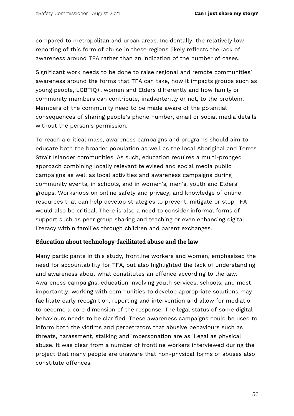compared to metropolitan and urban areas. Incidentally, the relatively low reporting of this form of abuse in these regions likely reflects the lack of awareness around TFA rather than an indication of the number of cases.

Significant work needs to be done to raise regional and remote communities' awareness around the forms that TFA can take, how it impacts groups such as young people, LGBTIQ+, women and Elders differently and how family or community members can contribute, inadvertently or not, to the problem. Members of the community need to be made aware of the potential consequences of sharing people's phone number, email or social media details without the person's permission.

To reach a critical mass, awareness campaigns and programs should aim to educate both the broader population as well as the local Aboriginal and Torres Strait Islander communities. As such, education requires a multi-pronged approach combining locally relevant televised and social media public campaigns as well as local activities and awareness campaigns during community events, in schools, and in women's, men's, youth and Elders' groups. Workshops on online safety and privacy, and knowledge of online resources that can help develop strategies to prevent, mitigate or stop TFA would also be critical. There is also a need to consider informal forms of support such as peer group sharing and teaching or even enhancing digital literacy within families through children and parent exchanges.

#### **Education about technology-facilitated abuse and the law**

Many participants in this study, frontline workers and women, emphasised the need for accountability for TFA, but also highlighted the lack of understanding and awareness about what constitutes an offence according to the law. Awareness campaigns, education involving youth services, schools, and most importantly, working with communities to develop appropriate solutions may facilitate early recognition, reporting and intervention and allow for mediation to become a core dimension of the response. The legal status of some digital behaviours needs to be clarified. These awareness campaigns could be used to inform both the victims and perpetrators that abusive behaviours such as threats, harassment, stalking and impersonation are as illegal as physical abuse. It was clear from a number of frontline workers interviewed during the project that many people are unaware that non-physical forms of abuses also constitute offences.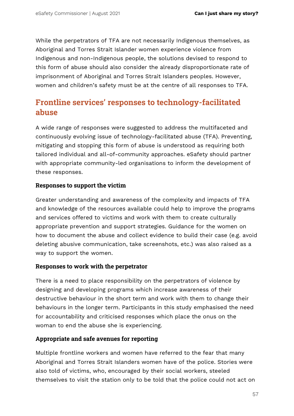While the perpetrators of TFA are not necessarily Indigenous themselves, as Aboriginal and Torres Strait Islander women experience violence from Indigenous and non-Indigenous people, the solutions devised to respond to this form of abuse should also consider the already disproportionate rate of imprisonment of Aboriginal and Torres Strait Islanders peoples. However, women and children's safety must be at the centre of all responses to TFA.

## **Frontline services' responses to technology-facilitated abuse**

A wide range of responses were suggested to address the multifaceted and continuously evolving issue of technology-facilitated abuse (TFA). Preventing, mitigating and stopping this form of abuse is understood as requiring both tailored individual and all-of-community approaches. eSafety should partner with appropriate community-led organisations to inform the development of these responses.

#### **Responses to support the victim**

Greater understanding and awareness of the complexity and impacts of TFA and knowledge of the resources available could help to improve the programs and services offered to victims and work with them to create culturally appropriate prevention and support strategies. Guidance for the women on how to document the abuse and collect evidence to build their case (e.g. avoid deleting abusive communication, take screenshots, etc.) was also raised as a way to support the women.

#### **Responses to work with the perpetrator**

There is a need to place responsibility on the perpetrators of violence by designing and developing programs which increase awareness of their destructive behaviour in the short term and work with them to change their behaviours in the longer term. Participants in this study emphasised the need for accountability and criticised responses which place the onus on the woman to end the abuse she is experiencing.

#### **Appropriate and safe avenues for reporting**

Multiple frontline workers and women have referred to the fear that many Aboriginal and Torres Strait Islanders women have of the police. Stories were also told of victims, who, encouraged by their social workers, steeled themselves to visit the station only to be told that the police could not act on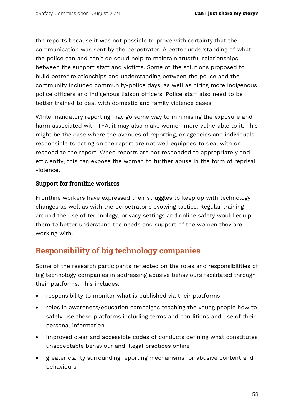the reports because it was not possible to prove with certainty that the communication was sent by the perpetrator. A better understanding of what the police can and can't do could help to maintain trustful relationships between the support staff and victims. Some of the solutions proposed to build better relationships and understanding between the police and the community included community-police days, as well as hiring more Indigenous police officers and Indigenous liaison officers. Police staff also need to be better trained to deal with domestic and family violence cases.

While mandatory reporting may go some way to minimising the exposure and harm associated with TFA, it may also make women more vulnerable to it. This might be the case where the avenues of reporting, or agencies and individuals responsible to acting on the report are not well equipped to deal with or respond to the report. When reports are not responded to appropriately and efficiently, this can expose the woman to further abuse in the form of reprisal violence.

#### **Support for frontline workers**

Frontline workers have expressed their struggles to keep up with technology changes as well as with the perpetrator's evolving tactics. Regular training around the use of technology, privacy settings and online safety would equip them to better understand the needs and support of the women they are working with.

## **Responsibility of big technology companies**

Some of the research participants reflected on the roles and responsibilities of big technology companies in addressing abusive behaviours facilitated through their platforms. This includes:

- responsibility to monitor what is published via their platforms
- roles in awareness/education campaigns teaching the young people how to safely use these platforms including terms and conditions and use of their personal information
- improved clear and accessible codes of conducts defining what constitutes unacceptable behaviour and illegal practices online
- greater clarity surrounding reporting mechanisms for abusive content and behaviours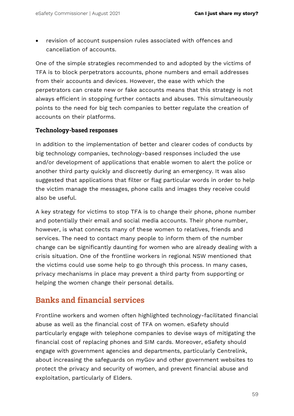• revision of account suspension rules associated with offences and cancellation of accounts.

One of the simple strategies recommended to and adopted by the victims of TFA is to block perpetrators accounts, phone numbers and email addresses from their accounts and devices. However, the ease with which the perpetrators can create new or fake accounts means that this strategy is not always efficient in stopping further contacts and abuses. This simultaneously points to the need for big tech companies to better regulate the creation of accounts on their platforms.

#### **Technology-based responses**

In addition to the implementation of better and clearer codes of conducts by big technology companies, technology-based responses included the use and/or development of applications that enable women to alert the police or another third party quickly and discreetly during an emergency. It was also suggested that applications that filter or flag particular words in order to help the victim manage the messages, phone calls and images they receive could also be useful.

A key strategy for victims to stop TFA is to change their phone, phone number and potentially their email and social media accounts. Their phone number, however, is what connects many of these women to relatives, friends and services. The need to contact many people to inform them of the number change can be significantly daunting for women who are already dealing with a crisis situation. One of the frontline workers in regional NSW mentioned that the victims could use some help to go through this process. In many cases, privacy mechanisms in place may prevent a third party from supporting or helping the women change their personal details.

### **Banks and financial services**

Frontline workers and women often highlighted technology-facilitated financial abuse as well as the financial cost of TFA on women. eSafety should particularly engage with telephone companies to devise ways of mitigating the financial cost of replacing phones and SIM cards. Moreover, eSafety should engage with government agencies and departments, particularly Centrelink, about increasing the safeguards on myGov and other government websites to protect the privacy and security of women, and prevent financial abuse and exploitation, particularly of Elders.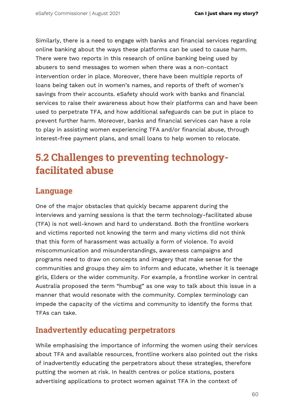Similarly, there is a need to engage with banks and financial services regarding online banking about the ways these platforms can be used to cause harm. There were two reports in this research of online banking being used by abusers to send messages to women when there was a non-contact intervention order in place. Moreover, there have been multiple reports of loans being taken out in women's names, and reports of theft of women's savings from their accounts. eSafety should work with banks and financial services to raise their awareness about how their platforms can and have been used to perpetrate TFA, and how additional safeguards can be put in place to prevent further harm. Moreover, banks and financial services can have a role to play in assisting women experiencing TFA and/or financial abuse, through interest-free payment plans, and small loans to help women to relocate.

## **5.2 Challenges to preventing technologyfacilitated abuse**

### **Language**

One of the major obstacles that quickly became apparent during the interviews and yarning sessions is that the term technology-facilitated abuse (TFA) is not well-known and hard to understand. Both the frontline workers and victims reported not knowing the term and many victims did not think that this form of harassment was actually a form of violence. To avoid miscommunication and misunderstandings, awareness campaigns and programs need to draw on concepts and imagery that make sense for the communities and groups they aim to inform and educate, whether it is teenage girls, Elders or the wider community. For example, a frontline worker in central Australia proposed the term "humbug" as one way to talk about this issue in a manner that would resonate with the community. Complex terminology can impede the capacity of the victims and community to identify the forms that TFAs can take.

## **Inadvertently educating perpetrators**

While emphasising the importance of informing the women using their services about TFA and available resources, frontline workers also pointed out the risks of inadvertently educating the perpetrators about these strategies, therefore putting the women at risk. In health centres or police stations, posters advertising applications to protect women against TFA in the context of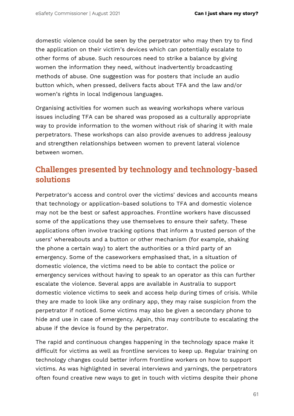domestic violence could be seen by the perpetrator who may then try to find the application on their victim's devices which can potentially escalate to other forms of abuse. Such resources need to strike a balance by giving women the information they need, without inadvertently broadcasting methods of abuse. One suggestion was for posters that include an audio button which, when pressed, delivers facts about TFA and the law and/or women's rights in local Indigenous languages.

Organising activities for women such as weaving workshops where various issues including TFA can be shared was proposed as a culturally appropriate way to provide information to the women without risk of sharing it with male perpetrators. These workshops can also provide avenues to address jealousy and strengthen relationships between women to prevent lateral violence between women.

## **Challenges presented by technology and technology-based solutions**

Perpetrator's access and control over the victims' devices and accounts means that technology or application-based solutions to TFA and domestic violence may not be the best or safest approaches. Frontline workers have discussed some of the applications they use themselves to ensure their safety. These applications often involve tracking options that inform a trusted person of the users' whereabouts and a button or other mechanism (for example, shaking the phone a certain way) to alert the authorities or a third party of an emergency. Some of the caseworkers emphasised that, in a situation of domestic violence, the victims need to be able to contact the police or emergency services without having to speak to an operator as this can further escalate the violence. Several apps are available in Australia to support domestic violence victims to seek and access help during times of crisis. While they are made to look like any ordinary app, they may raise suspicion from the perpetrator if noticed. Some victims may also be given a secondary phone to hide and use in case of emergency. Again, this may contribute to escalating the abuse if the device is found by the perpetrator.

The rapid and continuous changes happening in the technology space make it difficult for victims as well as frontline services to keep up. Regular training on technology changes could better inform frontline workers on how to support victims. As was highlighted in several interviews and yarnings, the perpetrators often found creative new ways to get in touch with victims despite their phone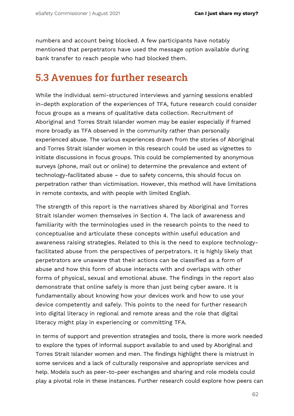numbers and account being blocked. A few participants have notably mentioned that perpetrators have used the message option available during bank transfer to reach people who had blocked them.

## **5.3 Avenues for further research**

While the individual semi-structured interviews and yarning sessions enabled in-depth exploration of the experiences of TFA, future research could consider focus groups as a means of qualitative data collection. Recruitment of Aboriginal and Torres Strait Islander women may be easier especially if framed more broadly as TFA observed in the community rather than personally experienced abuse. The various experiences drawn from the stories of Aboriginal and Torres Strait Islander women in this research could be used as vignettes to initiate discussions in focus groups. This could be complemented by anonymous surveys (phone, mail out or online) to determine the prevalence and extent of technology-facilitated abuse – due to safety concerns, this should focus on perpetration rather than victimisation. However, this method will have limitations in remote contexts, and with people with limited English.

The strength of this report is the narratives shared by Aboriginal and Torres Strait Islander women themselves in Section 4. The lack of awareness and familiarity with the terminologies used in the research points to the need to conceptualise and articulate these concepts within useful education and awareness raising strategies. Related to this is the need to explore technologyfacilitated abuse from the perspectives of perpetrators. It is highly likely that perpetrators are unaware that their actions can be classified as a form of abuse and how this form of abuse interacts with and overlaps with other forms of physical, sexual and emotional abuse. The findings in the report also demonstrate that online safely is more than just being cyber aware. It is fundamentally about knowing how your devices work and how to use your device competently and safely. This points to the need for further research into digital literacy in regional and remote areas and the role that digital literacy might play in experiencing or committing TFA.

In terms of support and prevention strategies and tools, there is more work needed to explore the types of informal support available to and used by Aboriginal and Torres Strait Islander women and men. The findings highlight there is mistrust in some services and a lack of culturally responsive and appropriate services and help. Models such as peer-to-peer exchanges and sharing and role models could play a pivotal role in these instances. Further research could explore how peers can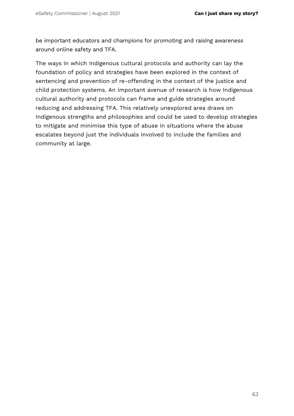be important educators and champions for promoting and raising awareness around online safety and TFA.

The ways in which Indigenous cultural protocols and authority can lay the foundation of policy and strategies have been explored in the context of sentencing and prevention of re-offending in the context of the justice and child protection systems. An important avenue of research is how Indigenous cultural authority and protocols can frame and guide strategies around reducing and addressing TFA. This relatively unexplored area draws on Indigenous strengths and philosophies and could be used to develop strategies to mitigate and minimise this type of abuse in situations where the abuse escalates beyond just the individuals involved to include the families and community at large.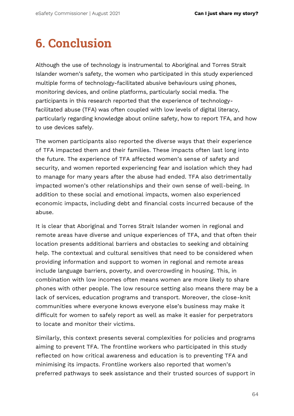# **6. Conclusion**

Although the use of technology is instrumental to Aboriginal and Torres Strait Islander women's safety, the women who participated in this study experienced multiple forms of technology-facilitated abusive behaviours using phones, monitoring devices, and online platforms, particularly social media. The participants in this research reported that the experience of technologyfacilitated abuse (TFA) was often coupled with low levels of digital literacy, particularly regarding knowledge about online safety, how to report TFA, and how to use devices safely.

The women participants also reported the diverse ways that their experience of TFA impacted them and their families. These impacts often last long into the future. The experience of TFA affected women's sense of safety and security, and women reported experiencing fear and isolation which they had to manage for many years after the abuse had ended. TFA also detrimentally impacted women's other relationships and their own sense of well-being. In addition to these social and emotional impacts, women also experienced economic impacts, including debt and financial costs incurred because of the abuse.

It is clear that Aboriginal and Torres Strait Islander women in regional and remote areas have diverse and unique experiences of TFA, and that often their location presents additional barriers and obstacles to seeking and obtaining help. The contextual and cultural sensitives that need to be considered when providing information and support to women in regional and remote areas include language barriers, poverty, and overcrowding in housing. This, in combination with low incomes often means women are more likely to share phones with other people. The low resource setting also means there may be a lack of services, education programs and transport. Moreover, the close-knit communities where everyone knows everyone else's business may make it difficult for women to safely report as well as make it easier for perpetrators to locate and monitor their victims.

Similarly, this context presents several complexities for policies and programs aiming to prevent TFA. The frontline workers who participated in this study reflected on how critical awareness and education is to preventing TFA and minimising its impacts. Frontline workers also reported that women's preferred pathways to seek assistance and their trusted sources of support in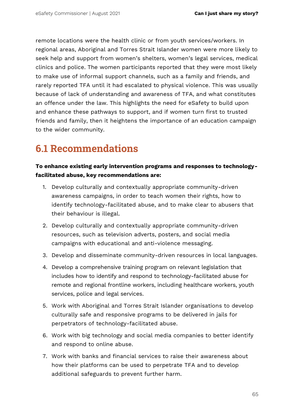remote locations were the health clinic or from youth services/workers. In regional areas, Aboriginal and Torres Strait Islander women were more likely to seek help and support from women's shelters, women's legal services, medical clinics and police. The women participants reported that they were most likely to make use of informal support channels, such as a family and friends, and rarely reported TFA until it had escalated to physical violence. This was usually because of lack of understanding and awareness of TFA, and what constitutes an offence under the law. This highlights the need for eSafety to build upon and enhance these pathways to support, and if women turn first to trusted friends and family, then it heightens the importance of an education campaign to the wider community.

## **6.1 Recommendations**

#### **To enhance existing early intervention programs and responses to technologyfacilitated abuse, key recommendations are:**

- 1. Develop culturally and contextually appropriate community-driven awareness campaigns, in order to teach women their rights, how to identify technology-facilitated abuse, and to make clear to abusers that their behaviour is illegal.
- 2. Develop culturally and contextually appropriate community-driven resources, such as television adverts, posters, and social media campaigns with educational and anti-violence messaging.
- 3. Develop and disseminate community-driven resources in local languages.
- 4. Develop a comprehensive training program on relevant legislation that includes how to identify and respond to technology-facilitated abuse for remote and regional frontline workers, including healthcare workers, youth services, police and legal services.
- 5. Work with Aboriginal and Torres Strait Islander organisations to develop culturally safe and responsive programs to be delivered in jails for perpetrators of technology-facilitated abuse.
- 6. Work with big technology and social media companies to better identify and respond to online abuse.
- 7. Work with banks and financial services to raise their awareness about how their platforms can be used to perpetrate TFA and to develop additional safeguards to prevent further harm.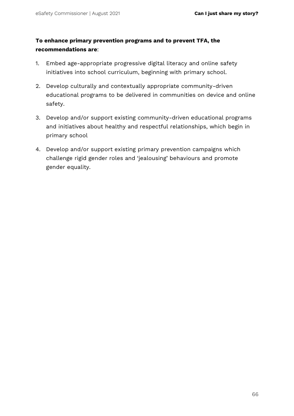#### **To enhance primary prevention programs and to prevent TFA, the recommendations are**:

- 1. Embed age-appropriate progressive digital literacy and online safety initiatives into school curriculum, beginning with primary school.
- 2. Develop culturally and contextually appropriate community-driven educational programs to be delivered in communities on device and online safety.
- 3. Develop and/or support existing community-driven educational programs and initiatives about healthy and respectful relationships, which begin in primary school
- 4. Develop and/or support existing primary prevention campaigns which challenge rigid gender roles and 'jealousing' behaviours and promote gender equality.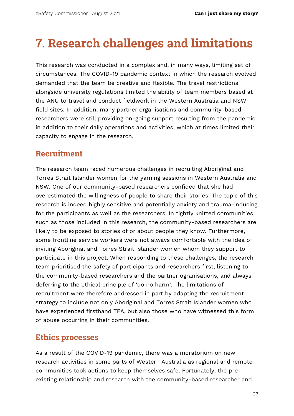# **7. Research challenges and limitations**

This research was conducted in a complex and, in many ways, limiting set of circumstances. The COVID-19 pandemic context in which the research evolved demanded that the team be creative and flexible. The travel restrictions alongside university regulations limited the ability of team members based at the ANU to travel and conduct fieldwork in the Western Australia and NSW field sites. In addition, many partner organisations and community-based researchers were still providing on-going support resulting from the pandemic in addition to their daily operations and activities, which at times limited their capacity to engage in the research.

## **Recruitment**

The research team faced numerous challenges in recruiting Aboriginal and Torres Strait Islander women for the yarning sessions in Western Australia and NSW. One of our community-based researchers confided that she had overestimated the willingness of people to share their stories. The topic of this research is indeed highly sensitive and potentially anxiety and trauma-inducing for the participants as well as the researchers. In tightly knitted communities such as those included in this research, the community-based researchers are likely to be exposed to stories of or about people they know. Furthermore, some frontline service workers were not always comfortable with the idea of inviting Aboriginal and Torres Strait Islander women whom they support to participate in this project. When responding to these challenges, the research team prioritised the safety of participants and researchers first, listening to the community-based researchers and the partner ogranisations, and always deferring to the ethical principle of 'do no harm'. The limitations of recruitment were therefore addressed in part by adapting the recruitment strategy to include not only Aboriginal and Torres Strait Islander women who have experienced firsthand TFA, but also those who have witnessed this form of abuse occurring in their communities.

### **Ethics processes**

As a result of the COVID-19 pandemic, there was a moratorium on new research activities in some parts of Western Australia as regional and remote communities took actions to keep themselves safe. Fortunately, the preexisting relationship and research with the community-based researcher and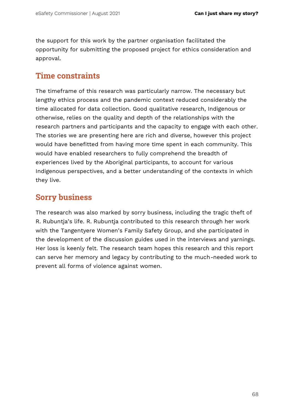the support for this work by the partner organisation facilitated the opportunity for submitting the proposed project for ethics consideration and approval.

## **Time constraints**

The timeframe of this research was particularly narrow. The necessary but lengthy ethics process and the pandemic context reduced considerably the time allocated for data collection. Good qualitative research, Indigenous or otherwise, relies on the quality and depth of the relationships with the research partners and participants and the capacity to engage with each other. The stories we are presenting here are rich and diverse, however this project would have benefitted from having more time spent in each community. This would have enabled researchers to fully comprehend the breadth of experiences lived by the Aboriginal participants, to account for various Indigenous perspectives, and a better understanding of the contexts in which they live.

## **Sorry business**

The research was also marked by sorry business, including the tragic theft of R. Rubuntja's life. R. Rubuntja contributed to this research through her work with the Tangentyere Women's Family Safety Group, and she participated in the development of the discussion guides used in the interviews and yarnings. Her loss is keenly felt. The research team hopes this research and this report can serve her memory and legacy by contributing to the much-needed work to prevent all forms of violence against women.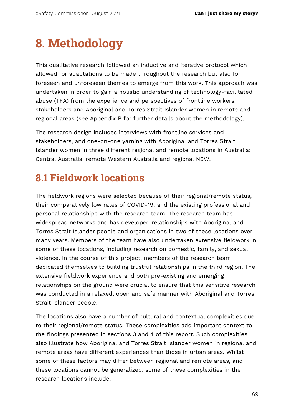# **8. Methodology**

This qualitative research followed an inductive and iterative protocol which allowed for adaptations to be made throughout the research but also for foreseen and unforeseen themes to emerge from this work. This approach was undertaken in order to gain a holistic understanding of technology-facilitated abuse (TFA) from the experience and perspectives of frontline workers, stakeholders and Aboriginal and Torres Strait Islander women in remote and regional areas (see Appendix B for further details about the methodology).

The research design includes interviews with frontline services and stakeholders, and one-on-one yarning with Aboriginal and Torres Strait Islander women in three different regional and remote locations in Australia: Central Australia, remote Western Australia and regional NSW.

## **8.1 Fieldwork locations**

The fieldwork regions were selected because of their regional/remote status, their comparatively low rates of COVID-19; and the existing professional and personal relationships with the research team. The research team has widespread networks and has developed relationships with Aboriginal and Torres Strait Islander people and organisations in two of these locations over many years. Members of the team have also undertaken extensive fieldwork in some of these locations, including research on domestic, family, and sexual violence. In the course of this project, members of the research team dedicated themselves to building trustful relationships in the third region. The extensive fieldwork experience and both pre-existing and emerging relationships on the ground were crucial to ensure that this sensitive research was conducted in a relaxed, open and safe manner with Aboriginal and Torres Strait Islander people.

The locations also have a number of cultural and contextual complexities due to their regional/remote status. These complexities add important context to the findings presented in sections 3 and 4 of this report. Such complexities also illustrate how Aboriginal and Torres Strait Islander women in regional and remote areas have different experiences than those in urban areas. Whilst some of these factors may differ between regional and remote areas, and these locations cannot be generalized, some of these complexities in the research locations include: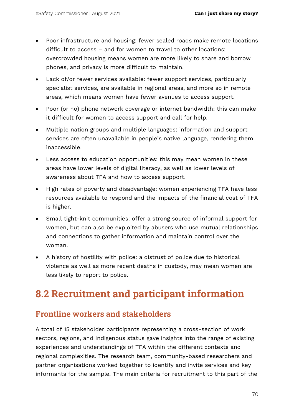- Poor infrastructure and housing: fewer sealed roads make remote locations difficult to access – and for women to travel to other locations; overcrowded housing means women are more likely to share and borrow phones, and privacy is more difficult to maintain.
- Lack of/or fewer services available: fewer support services, particularly specialist services, are available in regional areas, and more so in remote areas, which means women have fewer avenues to access support.
- Poor (or no) phone network coverage or internet bandwidth: this can make it difficult for women to access support and call for help.
- Multiple nation groups and multiple languages: information and support services are often unavailable in people's native language, rendering them inaccessible.
- Less access to education opportunities: this may mean women in these areas have lower levels of digital literacy, as well as lower levels of awareness about TFA and how to access support.
- High rates of poverty and disadvantage: women experiencing TFA have less resources available to respond and the impacts of the financial cost of TFA is higher.
- Small tight-knit communities: offer a strong source of informal support for women, but can also be exploited by abusers who use mutual relationships and connections to gather information and maintain control over the woman.
- A history of hostility with police: a distrust of police due to historical violence as well as more recent deaths in custody, may mean women are less likely to report to police.

## **8.2 Recruitment and participant information**

## **Frontline workers and stakeholders**

A total of 15 stakeholder participants representing a cross-section of work sectors, regions, and Indigenous status gave insights into the range of existing experiences and understandings of TFA within the different contexts and regional complexities. The research team, community-based researchers and partner organisations worked together to identify and invite services and key informants for the sample. The main criteria for recruitment to this part of the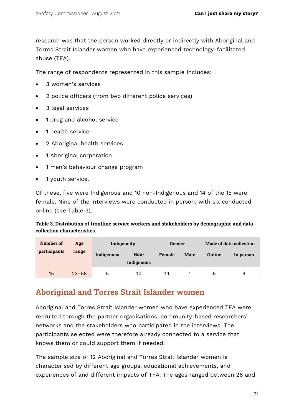research was that the person worked directly or indirectly with Aboriginal and Torres Strait Islander women who have experienced technology-facilitated abuse (TFA).

The range of respondents represented in this sample includes:

- 3 women's services
- 2 police officers (from two different police services)
- 3 legal services
- 1 drug and alcohol service
- 1 health service
- 2 Aboriginal health services
- 1 Aboriginal corporation
- 1 men's behaviour change program
- 1 youth service.

Of these, five were Indigenous and 10 non-Indigenous and 14 of the 15 were female. Nine of the interviews were conducted in person, with six conducted online (see Table 3).

**Table 3. Distribution of frontline service workers and stakeholders by demographic and data collection characteristics.**

| Number of<br>participants | Age<br>range | Indigeneity |                    | Gender        |      | Mode of data collection |           |
|---------------------------|--------------|-------------|--------------------|---------------|------|-------------------------|-----------|
|                           |              | Indigenous  | Non-<br>Indigenous | <b>Female</b> | Male | <b>Online</b>           | In person |
| 15                        | $23 - 58$    | 5           | 10                 | 14            |      | 6                       | 9         |

#### **Aboriginal and Torres Strait Islander women**

Aboriginal and Torres Strait Islander women who have experienced TFA were recruited through the partner organisations, community-based researchers' networks and the stakeholders who participated in the interviews. The participants selected were therefore already connected to a service that knows them or could support them if needed.

The sample size of 12 Aboriginal and Torres Strait Islander women is characterised by different age groups, educational achievements, and experiences of and different impacts of TFA. The ages ranged between 26 and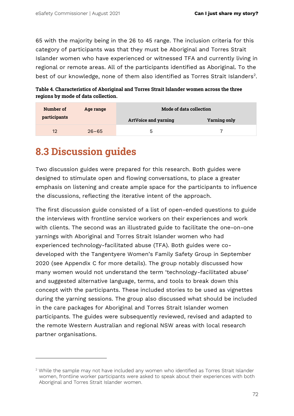65 with the majority being in the 26 to 45 range. The inclusion criteria for this category of participants was that they must be Aboriginal and Torres Strait Islander women who have experienced or witnessed TFA and currently living in regional or remote areas. All of the participants identified as Aboriginal. To the best of our knowledge, none of them also identified as Torres Strait Islanders<sup>2</sup>.

**Table 4. Characteristics of Aboriginal and Torres Strait Islander women across the three regions by mode of data collection.**

| Number of    | Age range | Mode of data collection     |                     |  |  |
|--------------|-----------|-----------------------------|---------------------|--|--|
| participants |           | <b>ArtVoice and yarning</b> | <b>Yarning only</b> |  |  |
| 12           | $26 - 65$ | ხ                           |                     |  |  |

#### **8.3 Discussion guides**

Two discussion guides were prepared for this research. Both guides were designed to stimulate open and flowing conversations, to place a greater emphasis on listening and create ample space for the participants to influence the discussions, reflecting the iterative intent of the approach.

The first discussion guide consisted of a list of open-ended questions to guide the interviews with frontline service workers on their experiences and work with clients. The second was an illustrated guide to facilitate the one-on-one yarnings with Aboriginal and Torres Strait Islander women who had experienced technology-facilitated abuse (TFA). Both guides were codeveloped with the Tangentyere Women's Family Safety Group in September 2020 (see Appendix C for more details). The group notably discussed how many women would not understand the term 'technology-facilitated abuse' and suggested alternative language, terms, and tools to break down this concept with the participants. These included stories to be used as vignettes during the yarning sessions. The group also discussed what should be included in the care packages for Aboriginal and Torres Strait Islander women participants. The guides were subsequently reviewed, revised and adapted to the remote Western Australian and regional NSW areas with local research partner organisations.

 $2$  While the sample may not have included any women who identified as Torres Strait Islander women, frontline worker participants were asked to speak about their experiences with both Aboriginal and Torres Strait Islander women.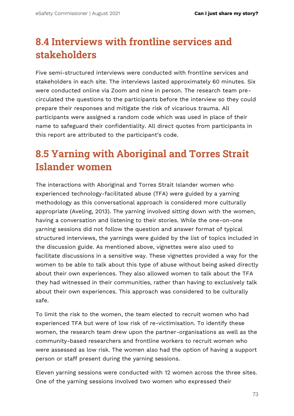## **8.4 Interviews with frontline services and stakeholders**

Five semi-structured interviews were conducted with frontline services and stakeholders in each site. The interviews lasted approximately 60 minutes. Six were conducted online via Zoom and nine in person. The research team precirculated the questions to the participants before the interview so they could prepare their responses and mitigate the risk of vicarious trauma. All participants were assigned a random code which was used in place of their name to safeguard their confidentiality. All direct quotes from participants in this report are attributed to the participant's code.

## **8.5 Yarning with Aboriginal and Torres Strait Islander women**

The interactions with Aboriginal and Torres Strait Islander women who experienced technology-facilitated abuse (TFA) were guided by a yarning methodology as this conversational approach is considered more culturally appropriate (Aveling, 2013). The yarning involved sitting down with the women, having a conversation and listening to their stories. While the one-on-one yarning sessions did not follow the question and answer format of typical structured interviews, the yarnings were guided by the list of topics included in the discussion guide. As mentioned above, vignettes were also used to facilitate discussions in a sensitive way. These vignettes provided a way for the women to be able to talk about this type of abuse without being asked directly about their own experiences. They also allowed women to talk about the TFA they had witnessed in their communities, rather than having to exclusively talk about their own experiences. This approach was considered to be culturally safe.

To limit the risk to the women, the team elected to recruit women who had experienced TFA but were of low risk of re-victimisation. To identify these women, the research team drew upon the partner-organisations as well as the community-based researchers and frontline workers to recruit women who were assessed as low risk. The women also had the option of having a support person or staff present during the yarning sessions.

Eleven yarning sessions were conducted with 12 women across the three sites. One of the yarning sessions involved two women who expressed their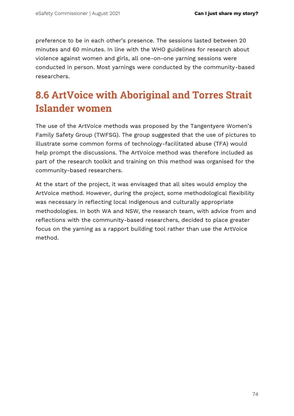preference to be in each other's presence. The sessions lasted between 20 minutes and 60 minutes. In line with the WHO guidelines for research about violence against women and girls, all one-on-one yarning sessions were conducted in person. Most yarnings were conducted by the community-based researchers.

## **8.6 ArtVoice with Aboriginal and Torres Strait Islander women**

The use of the ArtVoice methods was proposed by the Tangentyere Women's Family Safety Group (TWFSG). The group suggested that the use of pictures to illustrate some common forms of technology-facilitated abuse (TFA) would help prompt the discussions. The ArtVoice method was therefore included as part of the research toolkit and training on this method was organised for the community-based researchers.

At the start of the project, it was envisaged that all sites would employ the ArtVoice method. However, during the project, some methodological flexibility was necessary in reflecting local Indigenous and culturally appropriate methodologies. In both WA and NSW, the research team, with advice from and reflections with the community-based researchers, decided to place greater focus on the yarning as a rapport building tool rather than use the ArtVoice method.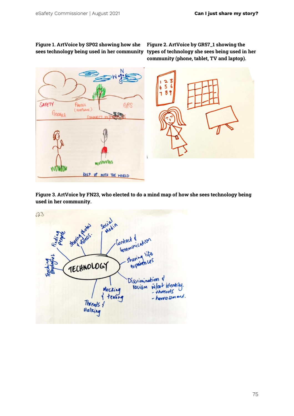## **Figure 1. ArtVoice by SP02 showing how she**

**sees technology being used in her community types of technology she sees being used in her Figure 2. ArtVoice by GR57\_1 showing the community (phone, tablet, TV and laptop).**



**Figure 3. ArtVoice by FN23, who elected to do a mind map of how she sees technology being used in her community.**

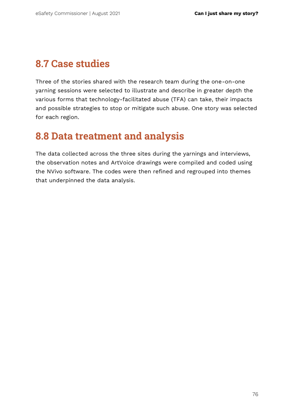### **8.7 Case studies**

Three of the stories shared with the research team during the one-on-one yarning sessions were selected to illustrate and describe in greater depth the various forms that technology-facilitated abuse (TFA) can take, their impacts and possible strategies to stop or mitigate such abuse. One story was selected for each region.

#### **8.8 Data treatment and analysis**

The data collected across the three sites during the yarnings and interviews, the observation notes and ArtVoice drawings were compiled and coded using the NVivo software. The codes were then refined and regrouped into themes that underpinned the data analysis.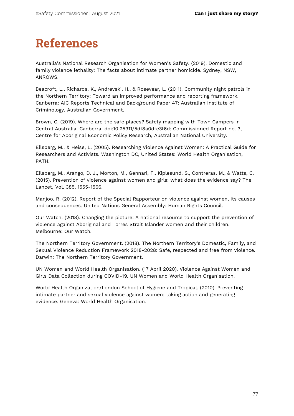# **References**

Australia's National Research Organisation for Women's Safety. (2019). Domestic and family violence lethality: The facts about intimate partner homicide. Sydney, NSW, ANROWS.

Beacroft, L., Richards, K., Andrevski, H., & Rosevear, L. (2011). Community night patrols in the Northern Territory: Toward an improved performance and reporting framework. Canberra: AIC Reports Technical and Background Paper 47: Australian Institute of Criminology, Australian Government.

Brown, C. (2019). Where are the safe places? Safety mapping with Town Campers in Central Australia. Canberra. doi:10.25911/5df8a0dfe3f6d: Commissioned Report no. 3, Centre for Aboriginal Economic Policy Research, Australian National University.

Ellsberg, M., & Heise, L. (2005). Researching Violence Against Women: A Practical Guide for Researchers and Activists. Washington DC, United States: World Health Organisation, PATH.

Ellsberg, M., Arango, D. J., Morton, M., Gennari, F., Kiplesund, S., Contreras, M., & Watts, C. (2015). Prevention of violence against women and girls: what does the evidence say? The Lancet, Vol. 385, 1555-1566.

Manjoo, R. (2012). Report of the Special Rapporteur on violence against women, its causes and consequences. United Nations General Assembly: Human Rights Council.

Our Watch. (2018). Changing the picture: A national resource to support the prevention of violence against Aboriginal and Torres Strait Islander women and their children. Melbourne: Our Watch.

The Northern Territory Government. (2018). The Northern Territory's Domestic, Family, and Sexual Violence Reduction Framework 2018-2028: Safe, respected and free from violence. Darwin: The Northern Territory Government.

UN Women and World Health Organisation. (17 April 2020). Violence Against Women and Girls Data Collection during COVID-19. UN Women and World Health Organisation.

World Health Organization/London School of Hygiene and Tropical. (2010). Preventing intimate partner and sexual violence against women: taking action and generating evidence. Geneva: World Health Organisation.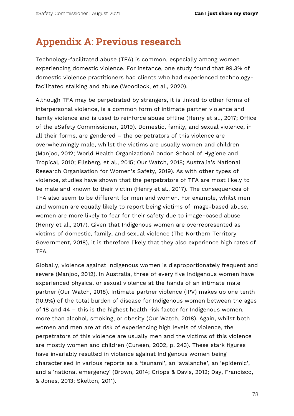#### **Appendix A: Previous research**

Technology-facilitated abuse (TFA) is common, especially among women experiencing domestic violence. For instance, one study found that 99.3% of domestic violence practitioners had clients who had experienced technologyfacilitated stalking and abuse (Woodlock, et al., 2020).

Although TFA may be perpetrated by strangers, it is linked to other forms of interpersonal violence, is a common form of intimate partner violence and family violence and is used to reinforce abuse offline (Henry et al., 2017; Office of the eSafety Commissioner, 2019). Domestic, family, and sexual violence, in all their forms, are gendered – the perpetrators of this violence are overwhelmingly male, whilst the victims are usually women and children (Manjoo, 2012; World Health Organization/London School of Hygiene and Tropical, 2010; Ellsberg, et al., 2015; Our Watch, 2018; Australia's National Research Organisation for Women's Safety, 2019). As with other types of violence, studies have shown that the perpetrators of TFA are most likely to be male and known to their victim (Henry et al., 2017). The consequences of TFA also seem to be different for men and women. For example, whilst men and women are equally likely to report being victims of image-based abuse, women are more likely to fear for their safety due to image-based abuse (Henry et al., 2017). Given that Indigenous women are overrepresented as victims of domestic, family, and sexual violence (The Northern Territory Government, 2018), it is therefore likely that they also experience high rates of TFA.

Globally, violence against Indigenous women is disproportionately frequent and severe (Manjoo, 2012). In Australia, three of every five Indigenous women have experienced physical or sexual violence at the hands of an intimate male partner (Our Watch, 2018). Intimate partner violence (IPV) makes up one tenth (10.9%) of the total burden of disease for Indigenous women between the ages of 18 and 44 – this is the highest health risk factor for Indigenous women, more than alcohol, smoking, or obesity (Our Watch, 2018). Again, whilst both women and men are at risk of experiencing high levels of violence, the perpetrators of this violence are usually men and the victims of this violence are mostly women and children (Cuneen, 2002, p. 243). These stark figures have invariably resulted in violence against Indigenous women being characterised in various reports as a 'tsunami', an 'avalanche', an 'epidemic', and a 'national emergency' (Brown, 2014; Cripps & Davis, 2012; Day, Francisco, & Jones, 2013; Skelton, 2011).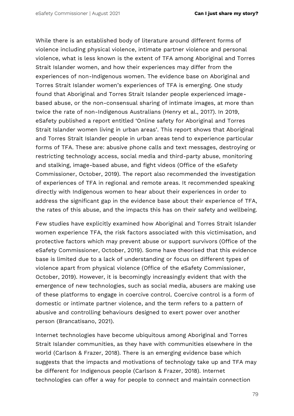While there is an established body of literature around different forms of violence including physical violence, intimate partner violence and personal violence, what is less known is the extent of TFA among Aboriginal and Torres Strait Islander women, and how their experiences may differ from the experiences of non-Indigenous women. The evidence base on Aboriginal and Torres Strait Islander women's experiences of TFA is emerging. One study found that Aboriginal and Torres Strait Islander people experienced imagebased abuse, or the non-consensual sharing of intimate images, at more than twice the rate of non-Indigenous Australians (Henry et al., 2017). In 2019, eSafety published a report entitled 'Online safety for Aboriginal and Torres Strait Islander women living in urban areas'. This report shows that Aboriginal and Torres Strait Islander people in urban areas tend to experience particular forms of TFA. These are: abusive phone calls and text messages, destroying or restricting technology access, social media and third-party abuse, monitoring and stalking, image-based abuse, and fight videos (Office of the eSafety Commissioner, October, 2019). The report also recommended the investigation of experiences of TFA in regional and remote areas. It recommended speaking directly with Indigenous women to hear about their experiences in order to address the significant gap in the evidence base about their experience of TFA, the rates of this abuse, and the impacts this has on their safety and wellbeing.

Few studies have explicitly examined how Aboriginal and Torres Strait Islander women experience TFA, the risk factors associated with this victimisation, and protective factors which may prevent abuse or support survivors (Office of the eSafety Commissioner, October, 2019). Some have theorised that this evidence base is limited due to a lack of understanding or focus on different types of violence apart from physical violence (Office of the eSafety Commissioner, October, 2019). However, it is becomingly increasingly evident that with the emergence of new technologies, such as social media, abusers are making use of these platforms to engage in coercive control. Coercive control is a form of domestic or intimate partner violence, and the term refers to a pattern of abusive and controlling behaviours designed to exert power over another person (Brancatisano, 2021).

Internet technologies have become ubiquitous among Aboriginal and Torres Strait Islander communities, as they have with communities elsewhere in the world (Carlson & Frazer, 2018). There is an emerging evidence base which suggests that the impacts and motivations of technology take up and TFA may be different for Indigenous people (Carlson & Frazer, 2018). Internet technologies can offer a way for people to connect and maintain connection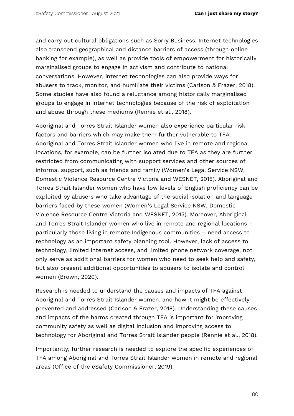and carry out cultural obligations such as Sorry Business. Internet technologies also transcend geographical and distance barriers of access (through online banking for example), as well as provide tools of empowerment for historically marginalised groups to engage in activism and contribute to national conversations. However, internet technologies can also provide ways for abusers to track, monitor, and humiliate their victims (Carlson & Frazer, 2018). Some studies have also found a reluctance among historically marginalised groups to engage in internet technologies because of the risk of exploitation and abuse through these mediums (Rennie et al., 2018).

Aboriginal and Torres Strait Islander women also experience particular risk factors and barriers which may make them further vulnerable to TFA. Aboriginal and Torres Strait Islander women who live in remote and regional locations, for example, can be further isolated due to TFA as they are further restricted from communicating with support services and other sources of informal support, such as friends and family (Women's Legal Service NSW, Domestic Violence Resource Centre Victoria and WESNET, 2015). Aboriginal and Torres Strait Islander women who have low levels of English proficiency can be exploited by abusers who take advantage of the social isolation and language barriers faced by these women (Women's Legal Service NSW, Domestic Violence Resource Centre Victoria and WESNET, 2015). Moreover, Aboriginal and Torres Strait Islander women who live in remote and regional locations – particularly those living in remote Indigenous communities – need access to technology as an important safety planning tool. However, lack of access to technology, limited internet access, and limited phone network coverage, not only serve as additional barriers for women who need to seek help and safety, but also present additional opportunities to abusers to isolate and control women (Brown, 2020).

Research is needed to understand the causes and impacts of TFA against Aboriginal and Torres Strait Islander women, and how it might be effectively prevented and addressed (Carlson & Frazer, 2018). Understanding these causes and impacts of the harms created through TFA is important for improving community safety as well as digital inclusion and improving access to technology for Aboriginal and Torres Strait Islander people (Rennie et al., 2018).

Importantly, further research is needed to explore the specific experiences of TFA among Aboriginal and Torres Strait Islander women in remote and regional areas (Office of the eSafety Commissioner, 2019).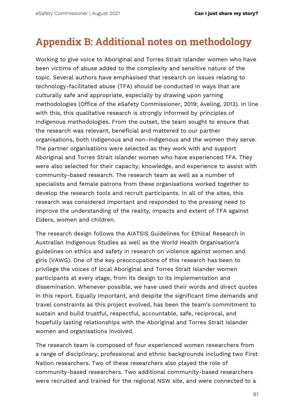#### **Appendix B: Additional notes on methodology**

Working to give voice to Aboriginal and Torres Strait Islander women who have been victims of abuse added to the complexity and sensitive nature of the topic. Several authors have emphasised that research on issues relating to technology-facilitated abuse (TFA) should be conducted in ways that are culturally safe and appropriate, especially by drawing upon yarning methodologies (Office of the eSafety Commissioner, 2019; Aveling, 2013). In line with this, this qualitative research is strongly informed by principles of Indigenous methodologies. From the outset, the team sought to ensure that the research was relevant, beneficial and mattered to our partner organisations, both Indigenous and non-Indigenous and the women they serve. The partner organisations were selected as they work with and support Aboriginal and Torres Strait Islander women who have experienced TFA. They were also selected for their capacity, knowledge, and experience to assist with community-based research. The research team as well as a number of specialists and female patrons from these organisations worked together to develop the research tools and recruit participants. In all of the sites, this research was considered important and responded to the pressing need to improve the understanding of the reality, impacts and extent of TFA against Elders, women and children.

The research design follows the AIATSIS Guidelines for Ethical Research in Australian Indigenous Studies as well as the World Health Organisation's guidelines on ethics and safety in research on violence against women and girls (VAWG). One of the key preoccupations of this research has been to privilege the voices of local Aboriginal and Torres Strait Islander women participants at every stage, from its design to its implementation and dissemination. Whenever possible, we have used their words and direct quotes in this report. Equally important, and despite the significant time demands and travel constraints as this project evolved, has been the team's commitment to sustain and build trustful, respectful, accountable, safe, reciprocal, and hopefully lasting relationships with the Aboriginal and Torres Strait Islander women and organisations involved.

The research team is composed of four experienced women researchers from a range of disciplinary, professional and ethnic backgrounds including two First Nation researchers. Two of these researchers also played the role of community-based researchers. Two additional community-based researchers were recruited and trained for the regional NSW site, and were connected to a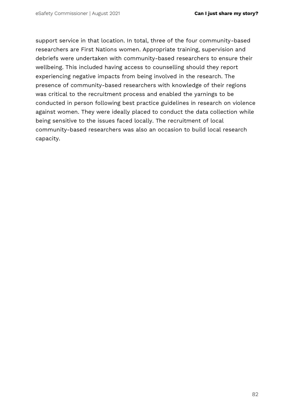support service in that location. In total, three of the four community-based researchers are First Nations women. Appropriate training, supervision and debriefs were undertaken with community-based researchers to ensure their wellbeing. This included having access to counselling should they report experiencing negative impacts from being involved in the research. The presence of community-based researchers with knowledge of their regions was critical to the recruitment process and enabled the yarnings to be conducted in person following best practice guidelines in research on violence against women. They were ideally placed to conduct the data collection while being sensitive to the issues faced locally. The recruitment of local community-based researchers was also an occasion to build local research capacity.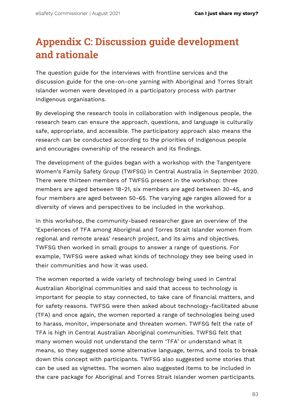## **Appendix C: Discussion guide development and rationale**

The question guide for the interviews with frontline services and the discussion guide for the one-on-one yarning with Aboriginal and Torres Strait Islander women were developed in a participatory process with partner Indigenous organisations.

By developing the research tools in collaboration with Indigenous people, the research team can ensure the approach, questions, and language is culturally safe, appropriate, and accessible. The participatory approach also means the research can be conducted according to the priorities of Indigenous people and encourages ownership of the research and its findings.

The development of the guides began with a workshop with the Tangentyere Women's Family Safety Group (TWFSG) in Central Australia in September 2020. There were thirteen members of TWFSG present in the workshop: three members are aged between 18-21, six members are aged between 30-45, and four members are aged between 50-65. The varying age ranges allowed for a diversity of views and perspectives to be included in the workshop.

In this workshop, the community-based researcher gave an overview of the 'Experiences of TFA among Aboriginal and Torres Strait Islander women from regional and remote areas' research project, and its aims and objectives. TWFSG then worked in small groups to answer a range of questions. For example, TWFSG were asked what kinds of technology they see being used in their communities and how it was used.

The women reported a wide variety of technology being used in Central Australian Aboriginal communities and said that access to technology is important for people to stay connected, to take care of financial matters, and for safety reasons. TWFSG were then asked about technology-facilitated abuse (TFA) and once again, the women reported a range of technologies being used to harass, monitor, impersonate and threaten women. TWFSG felt the rate of TFA is high in Central Australian Aboriginal communities. TWFSG felt that many women would not understand the term 'TFA' or understand what it means, so they suggested some alternative language, terms, and tools to break down this concept with participants. TWFSG also suggested some stories that can be used as vignettes. The women also suggested items to be included in the care package for Aboriginal and Torres Strait Islander women participants.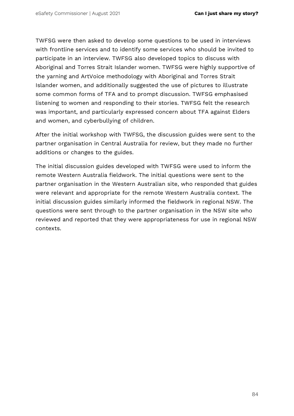TWFSG were then asked to develop some questions to be used in interviews with frontline services and to identify some services who should be invited to participate in an interview. TWFSG also developed topics to discuss with Aboriginal and Torres Strait Islander women. TWFSG were highly supportive of the yarning and ArtVoice methodology with Aboriginal and Torres Strait Islander women, and additionally suggested the use of pictures to illustrate some common forms of TFA and to prompt discussion. TWFSG emphasised listening to women and responding to their stories. TWFSG felt the research was important, and particularly expressed concern about TFA against Elders and women, and cyberbullying of children.

After the initial workshop with TWFSG, the discussion guides were sent to the partner organisation in Central Australia for review, but they made no further additions or changes to the guides.

The initial discussion guides developed with TWFSG were used to inform the remote Western Australia fieldwork. The initial questions were sent to the partner organisation in the Western Australian site, who responded that guides were relevant and appropriate for the remote Western Australia context. The initial discussion guides similarly informed the fieldwork in regional NSW. The questions were sent through to the partner organisation in the NSW site who reviewed and reported that they were appropriateness for use in regional NSW contexts.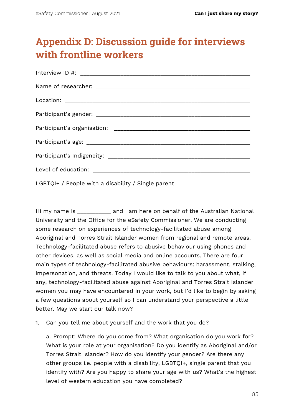## **Appendix D: Discussion guide for interviews with frontline workers**

LGBTQI+ / People with a disability / Single parent

Hi my name is **Example 20** and I am here on behalf of the Australian National University and the Office for the eSafety Commissioner. We are conducting some research on experiences of technology-facilitated abuse among Aboriginal and Torres Strait Islander women from regional and remote areas. Technology-facilitated abuse refers to abusive behaviour using phones and other devices, as well as social media and online accounts. There are four main types of technology-facilitated abusive behaviours: harassment, stalking, impersonation, and threats. Today I would like to talk to you about what, if any, technology-facilitated abuse against Aboriginal and Torres Strait Islander women you may have encountered in your work, but I'd like to begin by asking a few questions about yourself so I can understand your perspective a little better. May we start our talk now?

1. Can you tell me about yourself and the work that you do?

a. Prompt: Where do you come from? What organisation do you work for? What is your role at your organisation? Do you identify as Aboriginal and/or Torres Strait Islander? How do you identify your gender? Are there any other groups i.e. people with a disability, LGBTQI+, single parent that you identify with? Are you happy to share your age with us? What's the highest level of western education you have completed?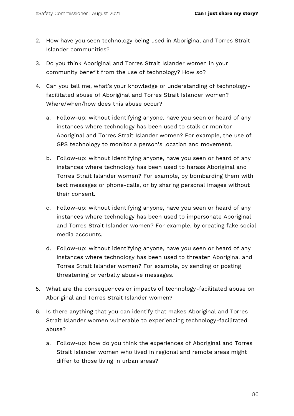- 2. How have you seen technology being used in Aboriginal and Torres Strait Islander communities?
- 3. Do you think Aboriginal and Torres Strait Islander women in your community benefit from the use of technology? How so?
- 4. Can you tell me, what's your knowledge or understanding of technologyfacilitated abuse of Aboriginal and Torres Strait Islander women? Where/when/how does this abuse occur?
	- a. Follow-up: without identifying anyone, have you seen or heard of any instances where technology has been used to stalk or monitor Aboriginal and Torres Strait Islander women? For example, the use of GPS technology to monitor a person's location and movement.
	- b. Follow-up: without identifying anyone, have you seen or heard of any instances where technology has been used to harass Aboriginal and Torres Strait Islander women? For example, by bombarding them with text messages or phone-calls, or by sharing personal images without their consent.
	- c. Follow-up: without identifying anyone, have you seen or heard of any instances where technology has been used to impersonate Aboriginal and Torres Strait Islander women? For example, by creating fake social media accounts.
	- d. Follow-up: without identifying anyone, have you seen or heard of any instances where technology has been used to threaten Aboriginal and Torres Strait Islander women? For example, by sending or posting threatening or verbally abusive messages.
- 5. What are the consequences or impacts of technology-facilitated abuse on Aboriginal and Torres Strait Islander women?
- 6. Is there anything that you can identify that makes Aboriginal and Torres Strait Islander women vulnerable to experiencing technology-facilitated abuse?
	- a. Follow-up: how do you think the experiences of Aboriginal and Torres Strait Islander women who lived in regional and remote areas might differ to those living in urban areas?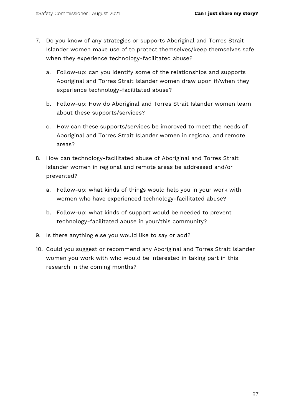- 7. Do you know of any strategies or supports Aboriginal and Torres Strait Islander women make use of to protect themselves/keep themselves safe when they experience technology-facilitated abuse?
	- a. Follow-up: can you identify some of the relationships and supports Aboriginal and Torres Strait Islander women draw upon if/when they experience technology-facilitated abuse?
	- b. Follow-up: How do Aboriginal and Torres Strait Islander women learn about these supports/services?
	- c. How can these supports/services be improved to meet the needs of Aboriginal and Torres Strait Islander women in regional and remote areas?
- 8. How can technology-facilitated abuse of Aboriginal and Torres Strait Islander women in regional and remote areas be addressed and/or prevented?
	- a. Follow-up: what kinds of things would help you in your work with women who have experienced technology-facilitated abuse?
	- b. Follow-up: what kinds of support would be needed to prevent technology-facilitated abuse in your/this community?
- 9. Is there anything else you would like to say or add?
- 10. Could you suggest or recommend any Aboriginal and Torres Strait Islander women you work with who would be interested in taking part in this research in the coming months?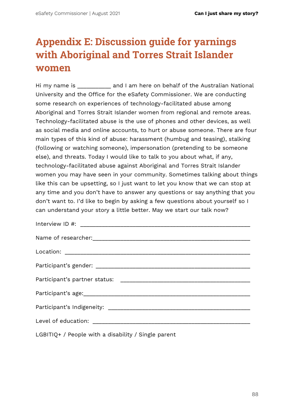## **Appendix E: Discussion guide for yarnings with Aboriginal and Torres Strait Islander women**

Hi my name is **Example 20** and I am here on behalf of the Australian National University and the Office for the eSafety Commissioner. We are conducting some research on experiences of technology-facilitated abuse among Aboriginal and Torres Strait Islander women from regional and remote areas. Technology-facilitated abuse is the use of phones and other devices, as well as social media and online accounts, to hurt or abuse someone. There are four main types of this kind of abuse: harassment (humbug and teasing), stalking (following or watching someone), impersonation (pretending to be someone else), and threats. Today I would like to talk to you about what, if any, technology-facilitated abuse against Aboriginal and Torres Strait Islander women you may have seen in your community. Sometimes talking about things like this can be upsetting, so I just want to let you know that we can stop at any time and you don't have to answer any questions or say anything that you don't want to. I'd like to begin by asking a few questions about yourself so I can understand your story a little better. May we start our talk now?

LGBITIQ+ / People with a disability / Single parent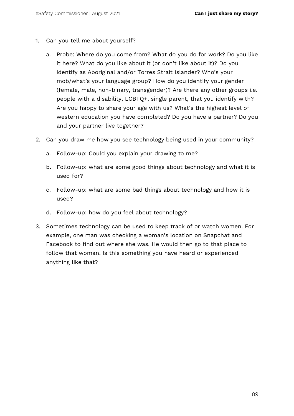- 1. Can you tell me about yourself?
	- a. Probe: Where do you come from? What do you do for work? Do you like it here? What do you like about it (or don't like about it)? Do you identify as Aboriginal and/or Torres Strait Islander? Who's your mob/what's your language group? How do you identify your gender (female, male, non-binary, transgender)? Are there any other groups i.e. people with a disability, LGBTQ+, single parent, that you identify with? Are you happy to share your age with us? What's the highest level of western education you have completed? Do you have a partner? Do you and your partner live together?
- 2. Can you draw me how you see technology being used in your community?
	- a. Follow-up: Could you explain your drawing to me?
	- b. Follow-up: what are some good things about technology and what it is used for?
	- c. Follow-up: what are some bad things about technology and how it is used?
	- d. Follow-up: how do you feel about technology?
- 3. Sometimes technology can be used to keep track of or watch women. For example, one man was checking a woman's location on Snapchat and Facebook to find out where she was. He would then go to that place to follow that woman. Is this something you have heard or experienced anything like that?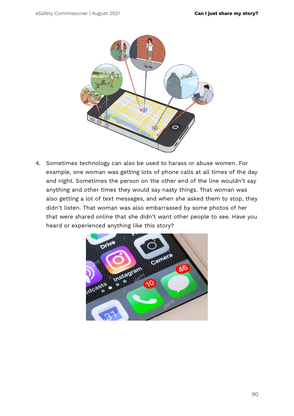

4. Sometimes technology can also be used to harass or abuse women. For example, one woman was getting lots of phone calls at all times of the day and night. Sometimes the person on the other end of the line wouldn't say anything and other times they would say nasty things. That woman was also getting a lot of text messages, and when she asked them to stop, they didn't listen. That woman was also embarrassed by some photos of her that were shared online that she didn't want other people to see. Have you heard or experienced anything like this story?

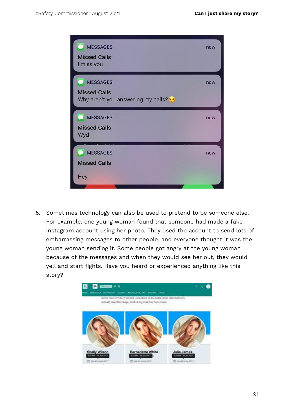

5. Sometimes technology can also be used to pretend to be someone else. For example, one young woman found that someone had made a fake Instagram account using her photo. They used the account to send lots of embarrassing messages to other people, and everyone thought it was the young woman sending it. Some people got angry at the young woman because of the messages and when they would see her out, they would yell and start fights. Have you heard or experienced anything like this story?

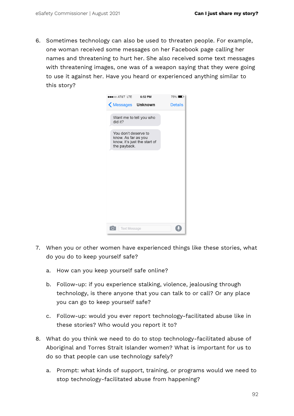6. Sometimes technology can also be used to threaten people. For example, one woman received some messages on her Facebook page calling her names and threatening to hurt her. She also received some text messages with threatening images, one was of a weapon saying that they were going to use it against her. Have you heard or experienced anything similar to this story?



- 7. When you or other women have experienced things like these stories, what do you do to keep yourself safe?
	- a. How can you keep yourself safe online?
	- b. Follow-up: if you experience stalking, violence, jealousing through technology, is there anyone that you can talk to or call? Or any place you can go to keep yourself safe?
	- c. Follow-up: would you ever report technology-facilitated abuse like in these stories? Who would you report it to?
- 8. What do you think we need to do to stop technology-facilitated abuse of Aboriginal and Torres Strait Islander women? What is important for us to do so that people can use technology safely?
	- a. Prompt: what kinds of support, training, or programs would we need to stop technology-facilitated abuse from happening?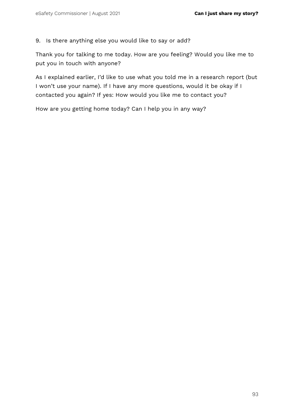9. Is there anything else you would like to say or add?

Thank you for talking to me today. How are you feeling? Would you like me to put you in touch with anyone?

As I explained earlier, I'd like to use what you told me in a research report (but I won't use your name). If I have any more questions, would it be okay if I contacted you again? If yes: How would you like me to contact you?

How are you getting home today? Can I help you in any way?